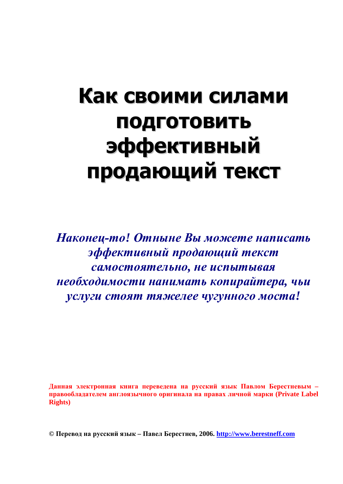# Как своими силами ПОДГОТОВИТЬ **эффективный** продающий текст

**Наконец-то! Отныне Вы можете написать эффективный продающий текст**  $\boldsymbol{c}$ амостоятельно, не испытывая **Необходимости нанимать копирайтера, чьи** услуги стоят тяжелее чугунного моста!

Данная электронная книга переведена на русский язык Павлом Берестневым правообладателем англоязычного оригинала на правах личной марки (Private Label **Rights)**

**© ɉɟɪɟɜɨɞɧɚɪɭɫɫɤɢɣɹɡɵɤ – ɉɚɜɟɥȻɟɪɟɫɬɧɟɜ, 2006. <http://www.berestneff.com>**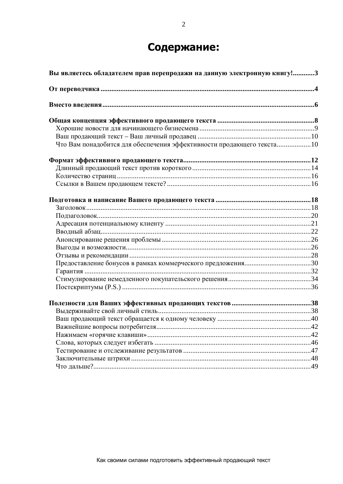# Содержание:

| Вы являетесь обладателем прав перепродажи на данную электронную книгу!3 |  |  |
|-------------------------------------------------------------------------|--|--|
|                                                                         |  |  |
|                                                                         |  |  |
|                                                                         |  |  |
|                                                                         |  |  |
|                                                                         |  |  |
| Что Вам понадобится для обеспечения эффективности продающего текста10   |  |  |
|                                                                         |  |  |
|                                                                         |  |  |
|                                                                         |  |  |
|                                                                         |  |  |
|                                                                         |  |  |
|                                                                         |  |  |
|                                                                         |  |  |
|                                                                         |  |  |
|                                                                         |  |  |
|                                                                         |  |  |
|                                                                         |  |  |
|                                                                         |  |  |
|                                                                         |  |  |
|                                                                         |  |  |
|                                                                         |  |  |
|                                                                         |  |  |
|                                                                         |  |  |
|                                                                         |  |  |
|                                                                         |  |  |
|                                                                         |  |  |
|                                                                         |  |  |
|                                                                         |  |  |
|                                                                         |  |  |
|                                                                         |  |  |
|                                                                         |  |  |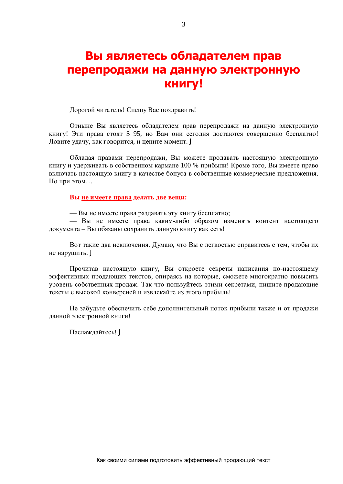# Вы являетесь обладателем прав перепродажи на данную электронную **КНИГУ!**

Дорогой читатель! Спешу Вас поздравить!

Отныне Вы являетесь обладателем прав перепродажи на данную электронную книгу! Эти права стоят \$ 95, но Вам они сегодня достаются совершенно бесплатно! Ловите удачу, как говорится, и цените момент. J

Обладая правами перепродажи, Вы можете продавать настоящую электронную книгу и удерживать в собственном кармане 100 % прибыли! Кроме того, Вы имеете право включать настоящую книгу в качестве бонуса в собственные коммерческие предложения. Но при этом...

**Вы не имеете права делать две вещи:** 

— Вы не имеете права раздавать эту книгу бесплатно;

— Вы не имеете права каким-либо образом изменять контент настоящего документа – Вы обязаны сохранить данную книгу как есть!

Вот такие два исключения. Думаю, что Вы с легкостью справитесь с тем, чтобы их не нарушить. J

Прочитав настоящую книгу, Вы откроете секреты написания по-настоящему эффективных продающих текстов, опираясь на которые, сможете многократно повысить уровень собственных продаж. Так что пользуйтесь этими секретами, пишите продающие тексты с высокой конверсией и извлекайте из этого прибыль!

Не забудьте обеспечить себе дополнительный поток прибыли также и от продажи данной электронной книги!

Наслаждайтесь! Ј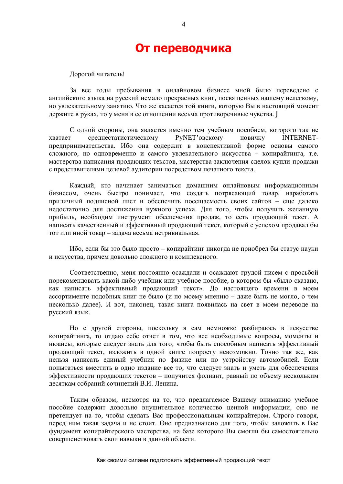# **От переводчика**

Дорогой читатель!

За все годы пребывания в онлайновом бизнесе мной было переведено с английского языка на русский немало прекрасных книг, посвященных нашему нелегкому. но увлекательному занятию. Что же касается той книги, которую Вы в настоящий момент держите в руках, то у меня в ее отношении весьма противоречивые чувства. Ј

С одной стороны, она является именно тем учебным пособием, которого так не хватает среднестатистическому РуNET'овскому новичку INTERNETпредпринимательства. Ибо она содержит в конспективной форме основы самого сложного, но одновременно и самого увлекательного искусства - копирайтинга, т.е. мастерства написания продающих текстов, мастерства заключения сделок купли-продажи с представителями целевой аудитории посредством печатного текста.

Каждый, кто начинает заниматься домашним онлайновым информационным бизнесом, очень быстро понимает, что создать потрясающий товар, наработать приличный подписной лист и обеспечить посещаемость своих сайтов – еще далеко недостаточно для достижения нужного успеха. Для того, чтобы получить желанную прибыль, необходим инструмент обеспечения продаж, то есть продающий текст. А написать качественный и эффективный продающий текст, который с успехом продавал бы тот или иной товар – задача весьма нетривиальная.

Ибо, если бы это было просто – копирайтинг никогда не приобрел бы статус науки и искусства, причем довольно сложного и комплексного.

Соответственно, меня постоянно осаждали и осаждают грудой писем с просьбой порекомендовать какой-либо учебник или учебное пособие, в котором бы «было сказано, как написать эффективный продающий текст». До настоящего времени в моем ассортименте подобных книг не было (и по моему мнению – даже быть не могло, о чем несколько далее). И вот, наконец, такая книга появилась на свет в моем переводе на русский язык.

Но с другой стороны, поскольку я сам немножко разбираюсь в искусстве копирайтинга, то отдаю себе отчет в том, что все необходимые вопросы, моменты и нюансы, которые следует знать для того, чтобы быть способным написать эффективный продающий текст, изложить в одной книге попросту невозможно. Точно так же, как нельзя написать единый учебник по физике или по устройству автомобилей. Если попытаться вместить в одно издание все то, что следует знать и уметь для обеспечения эффективности продающих текстов – получится фолиант, равный по объему нескольким десяткам собраний сочинений В.И. Ленина.

Таким образом, несмотря на то, что предлагаемое Вашему вниманию учебное пособие содержит довольно внушительное количество ценной информации, оно не претендует на то, чтобы сделать Вас профессиональным копирайтером. Строго говоря, перед ним такая задача и не стоит. Оно предназначено для того, чтобы заложить в Вас фундамент копирайтерского мастерства, на базе которого Вы смогли бы самостоятельно совершенствовать свои навыки в данной области.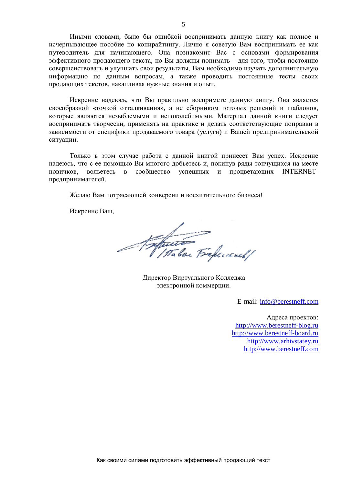Иными словами, было бы ошибкой воспринимать данную книгу как полное и исчерпывающее пособие по копирайтингу. Лично я советую Вам воспринимать ее как путеводитель для начинающего. Она познакомит Вас с основами формирования эффективного продающего текста, но Вы должны понимать – для того, чтобы постоянно совершенствовать и улучшать свои результаты, Вам необходимо изучать дополнительную информацию по данным вопросам, а также проводить постоянные тесты своих продающих текстов, накапливая нужные знания и опыт.

Искренне надеюсь, что Вы правильно воспримете данную книгу. Она является своеобразной «точкой отталкивания», а не сборником готовых решений и шаблонов, которые являются незыблемыми и непоколебимыми. Материал данной книги следует воспринимать творчески, применять на практике и делать соответствующие поправки в зависимости от специфики продаваемого товара (услуги) и Вашей предпринимательской ситуации.

Только в этом случае работа с данной книгой принесет Вам успех. Искренне надеюсь, что с ее помощью Вы многого добьетесь и, покинув ряды топчущихся на месте новичков, вольетесь в сообщество успешных и процветающих INTERNETпрелпринимателей.

Желаю Вам потрясающей конверсии и восхитительного бизнеса!

Искренне Ваш,

Antonio Beferrench/

Директор Виртуального Колледжа электронной коммерции.

E-mail: [info@berestneff.com](mailto:info@berestneff.com)

Адреса проектов: <http://www.berestneff-blog.ru> <http://www.berestneff-board.ru> <http://www.arhivstatey.ru> <http://www.berestneff.com>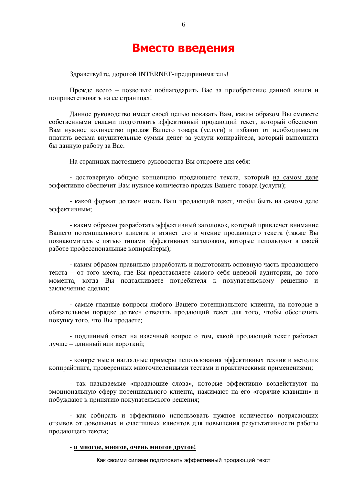# **Вместо введения**

6

Здравствуйте, дорогой INTERNET-предприниматель!

Прежде всего – позвольте поблагодарить Вас за приобретение данной книги и поприветствовать на ее страницах!

Данное руководство имеет своей целью показать Вам, каким образом Вы сможете собственными силами подготовить эффективный продающий текст, который обеспечит Вам нужное количество продаж Вашего товара (услуги) и избавит от необходимости платить весьма внушительные суммы денег за услуги копирайтера, который выполнитл бы данную работу за Вас.

На страницах настоящего руководства Вы откроете для себя:

- достоверную общую концепцию продающего текста, который на самом деле эффективно обеспечит Вам нужное количество продаж Вашего товара (услуги);

- какой формат должен иметь Ваш продающий текст, чтобы быть на самом деле эффективным;

- каким образом разработать эффективный заголовок, который привлечет внимание Вашего потенциального клиента и втянет его в чтение продающего текста (также Вы познакомитесь с пятью типами эффективных заголовков, которые используют в своей работе профессиональные копирайтеры):

- каким образом правильно разработать и подготовить основную часть продающего текста – от того места, где Вы представляете самого себя целевой аудитории, до того момента, когда Вы подталкиваете потребителя к покупательскому решению и заключению слелки:

- самые главные вопросы любого Вашего потенциального клиента, на которые в обязательном порядке должен отвечать продающий текст для того, чтобы обеспечить покупку того, что Вы продаете;

- подлинный ответ на извечный вопрос о том, какой продающий текст работает лучше – длинный или короткий;

- конкретные и наглядные примеры использования эффективных техник и методик копирайтинга, проверенных многочисленными тестами и практическими применениями;

- так называемые «продающие слова», которые эффективно воздействуют на эмоциональную сферу потенциального клиента, нажимают на его «горячие клавиши» и побуждают к принятию покупательского решения;

- как собирать и эффективно использовать нужное количество потрясающих отзывов от довольных и счастливых клиентов для повышения результативности работы продающего текста;

#### **- и многое, многое, очень многое другое!**

Как своими силами подготовить эффективный продающий текст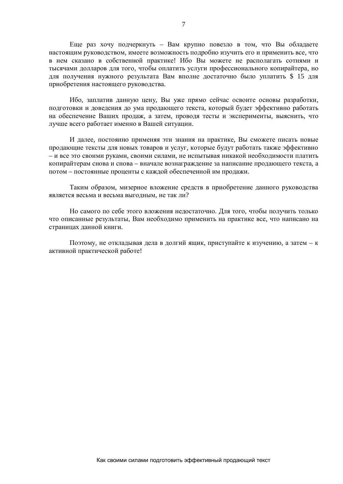Еще раз хочу подчеркнуть - Вам крупно повезло в том, что Вы обладаете настоящим руководством, имеете возможность подробно изучить его и применить все, что в нем сказано в собственной практике! Ибо Вы можете не располагать сотнями и тысячами долларов для того, чтобы оплатить услуги профессионального копирайтера, но для получения нужного результата Вам вполне достаточно было уплатить \$ 15 для приобретения настоящего руководства.

Ибо, заплатив данную цену, Вы уже прямо сейчас освоите основы разработки, подготовки и доведения до ума продающего текста, который будет эффективно работать на обеспечение Ваших продаж, а затем, проводя тесты и эксперименты, выяснить, что лучше всего работает именно в Вашей ситуации.

И далее, постоянно применяя эти знания на практике, Вы сможете писать новые продающие тексты для новых товаров и услуг, которые будут работать также эффективно – и все это своими руками, своими силами, не испытывая никакой необходимости платить копирайтерам снова и снова – вначале вознаграждение за написание продающего текста, а потом – постоянные проценты с каждой обеспеченной им продажи.

Таким образом, мизерное вложение средств в приобретение данного руководства является весьма и весьма выгодным, не так ли?

Но самого по себе этого вложения недостаточно. Для того, чтобы получить только что описанные результаты. Вам необхолимо применить на практике все, что написано на страницах данной книги.

Поэтому, не откладывая дела в долгий ящик, приступайте к изучению, а затем – к активной практической работе!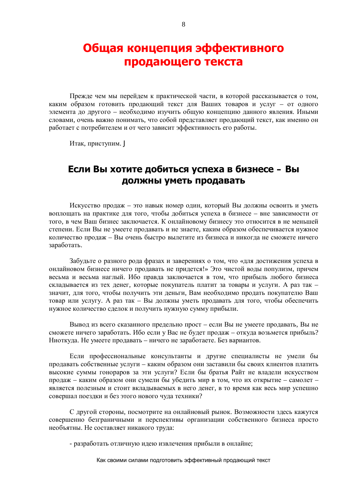# Общая концепция эффективного продающего текста

Прежде чем мы перейдем к практической части, в которой рассказывается о том, каким образом готовить продающий текст для Ваших товаров и услуг – от одного элемента до другого – необходимо изучить общую концепцию данного явления. Иными словами, очень важно понимать, что собой представляет продающий текст, как именно он работает с потребителем и от чего зависит эффективность его работы.

Итак, приступим. Ј

# $E$ сли Вы хотите добиться успеха в бизнесе – Вы должны уметь продавать

Искусство продаж – это навык номер один, который Вы должны освоить и уметь воплощать на практике для того, чтобы добиться успеха в бизнесе - вне зависимости от того, в чем Ваш бизнес заключается. К онлайновому бизнесу это относится в не меньшей степени. Если Вы не умеете продавать и не знаете, каким образом обеспечивается нужное количество продаж – Вы очень быстро вылетите из бизнеса и никогда не сможете ничего заработать.

Забудьте о разного рода фразах и заверениях о том, что «для достижения успеха в онлайновом бизнесе ничего продавать не придется!» Это чистой воды популизм, причем весьма и весьма наглый. Ибо правда заключается в том, что прибыль любого бизнеса складывается из тех денег, которые покупатель платит за товары и услуги. А раз так значит, для того, чтобы получить эти деньги, Вам необходимо продать покупателю Ваш товар или услугу. А раз так – Вы должны уметь продавать для того, чтобы обеспечить нужное количество сделок и получить нужную сумму прибыли.

Вывод из всего сказанного предельно прост – если Вы не умеете продавать, Вы не сможете ничего заработать. Ибо если у Вас не будет продаж – откуда возьмется прибыль? Ниоткуда. Не умеете продавать – ничего не заработаете. Без вариантов.

Если профессиональные консультанты и другие специалисты не умели бы продавать собственные услуги – каким образом они заставили бы своих клиентов платить высокие суммы гонораров за эти услуги? Если бы братья Райт не владели искусством продаж – каким образом они сумели бы убедить мир в том, что их открытие – самолет – является полезным и стоит вкладываемых в него денег, в то время как весь мир успешно совершал поездки и без этого нового чуда техники?

С другой стороны, посмотрите на онлайновый рынок. Возможности здесь кажутся совершенно безграничными и перспективы организации собственного бизнеса просто необъятны. Не составляет никакого труда:

- разработать отличную идею извлечения прибыли в онлайне;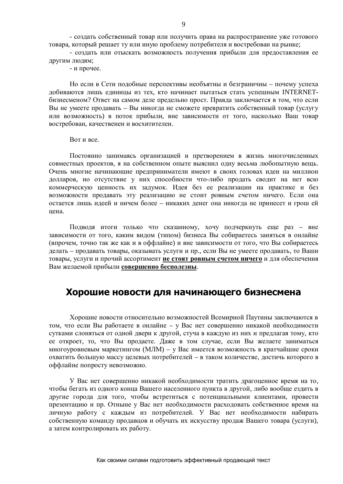- создать собственный товар или получить права на распространение уже готового товара, который решает ту или иную проблему потребителя и востребован на рынке;

- создать или отыскать возможность получения прибыли для предоставления ее другим людям;

- и прочее.

Но если в Сети подобные перспективы необъятны и безграничны – почему успеха добиваются лишь единицы из тех, кто начинает пытаться стать успешным INTERNETбизнесменом? Ответ на самом деле предельно прост. Правда заключается в том, что если Вы не умеете продавать – Вы никогда не сможете превратить собственный товар (услугу или возможность) в поток прибыли, вне зависимости от того, насколько Ваш товар востребован, качественен и восхитителен.

#### **Вот** и все.

Постоянно занимаясь организацией и претворением в жизнь многочисленных совместных проектов, я на собственном опыте выяснил одну весьма любопытную вещь. Очень многие начинающие предприниматели имеют в своих головах идеи на миллион долларов, но отсутствие у них способности что-либо продать сводит на нет всю коммерческую ценность их задумок. Идея без ее реализации на практике и без возможности продавать эту реализацию не стоит ровным счетом ничего. Если она остается лишь идеей и ничем более – никаких денег она никогда не принесет и грош ей нена.

Подводя итоги только что сказанному, хочу подчеркнуть еще раз – вне зависимости от того, каким видом (типом) бизнеса Вы собираетесь заняться в онлайне (впрочем, точно так же как и в оффлайне) и вне зависимости от того, что Вы собираетесь делать – продавать товары, оказывать услуги и пр., если Вы не умеете продавать, то Ваши товары, услуги и прочий ассортимент не стоят ровным счетом ничего и для обеспечения Вам желаемой прибыли совершенно бесполезны.

### **ǽȖȘȖȠȐȍȕȖȊȖșȚȐȌȓȧȕȈȟȐȕȈȦȡȍȋȖȉȐȏȕȍșȔȍȕȈ**

Хорошие новости относительно возможностей Всемирной Паутины заключаются в том, что если Вы работаете в онлайне - у Вас нет совершенно никакой необходимости сутками слоняться от одной двери к другой, стуча в каждую из них и предлагая тому, кто ее откроет, то, что Вы продаете. Даже в том случае, если Вы желаете заниматься много уровневым маркетингом (МЛМ) – у Вас имеется возможность в кратчайшие сроки охватить большую массу целевых потребителей – в таком количестве, достичь которого в оффлайне попросту невозможно.

У Вас нет совершенно никакой необходимости тратить драгоценное время на то, чтобы бегать из одного конца Вашего населенного пункта в другой, либо вообще ездить в другие города для того, чтобы встретиться с потенциальными клиентами, провести презентацию и пр. Отныне у Вас нет необходимости расходовать собственное время на личную работу с каждым из потребителей. У Вас нет необходимости набирать собственную команду продавцов и обучать их искусству продаж Вашего товара (услуги), а затем контролировать их работу.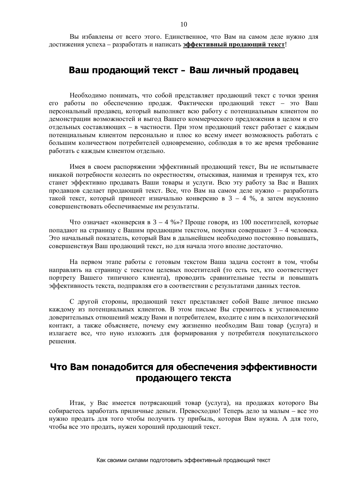Вы избавлены от всего этого. Единственное, что Вам на самом деле нужно для достижения успеха – разработать и написать эффективный продающий текст!

# Ваш продающий текст – Ваш личный продавец

Необходимо понимать, что собой представляет продающий текст с точки зрения его работы по обеспечению продаж. Фактически продающий текст – это Ваш персональный продавец, который выполняет всю работу с потенциальным клиентом по демонстрации возможностей и выгод Вашего коммерческого предложения в целом и его отдельных составляющих – в частности. При этом продающий текст работает с каждым потенциальным клиентом персонально и плюс ко всему имеет возможность работать с большим количеством потребителей одновременно, соблюдая в то же время требование работать с каждым клиентом отдельно.

Имея в своем распоряжении эффективный продающий текст, Вы не испытываете никакой потребности колесить по окрестностям, отыскивая, нанимая и тренируя тех, кто станет эффективно продавать Ваши товары и услуги. Всю эту работу за Вас и Ваших продавцов сделает продающий текст. Все, что Вам на самом деле нужно – разработать такой текст, который принесет изначально конверсию в  $3 - 4$  %, а затем неуклонно совершенствовать обеспечиваемые им результаты.

Что означает «конверсия в  $3 - 4$  %»? Проще говоря, из 100 посетителей, которые попадают на страницу с Вашим продающим текстом, покупки совершают  $3 - 4$  человека. Это начальный показатель, который Вам в дальнейшем необходимо постоянно повышать, совершенствуя Ваш продающий текст, но для начала этого вполне достаточно.

На первом этапе работы с готовым текстом Ваша задача состоит в том, чтобы направлять на страницу с текстом целевых посетителей (то есть тех, кто соответствует портрету Вашего типичного клиента), проводить сравнительные тесты и повышать эффективность текста, подправляя его в соответствии с результатами данных тестов.

С другой стороны, продающий текст представляет собой Ваше личное письмо каждому из потенциальных клиентов. В этом письме Вы стремитесь к установлению доверительных отношений между Вами и потребителем, входите с ним в психологический контакт, а также объясняете, почему ему жизненно необходим Ваш товар (услуга) и излагаете все, что нуно изложить для формирования у потребителя покупательского решения.

# Что Вам понадобится для обеспечения эффективности продающего текста

Итак, у Вас имеется потрясающий товар (услуга), на продажах которого Вы собираетесь заработать приличные деньги. Превосходно! Теперь дело за малым – все это нужно продать для того чтобы получить ту прибыль, которая Вам нужна. А для того, чтобы все это продать, нужен хороший продающий текст.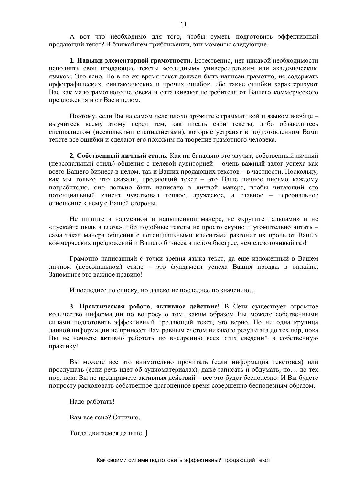А вот что необходимо для того, чтобы суметь подготовить эффективный продающий текст? В ближайшем приближении, эти моменты следующие.

**1. Навыки элементарной грамотности.** Естественно, нет никакой необходимости исполнять свои продающие тексты «солидным» университетским или академическим языком. Это ясно. Но в то же время текст должен быть написан грамотно, не содержать орфографических, синтаксических и прочих ошибок, ибо такие ошибки характеризуют Вас как малограмотного человека и отталкивают потребителя от Вашего коммерческого предложения и от Вас в целом.

Поэтому, если Вы на самом деле плохо дружите с грамматикой и языком вообще – выучитесь всему этому перед тем, как писать свои тексты, либо обзаведитесь специалистом (несколькими специалистами), которые устранят в подготовленном Вами тексте все ошибки и сделают его похожим на творение грамотного человека.

2. Собственный личный стиль. Как ни банально это звучит, собственный личный (персональный стиль) общения с целевой аудиторией – очень важный залог успеха как всего Вашего бизнеса в целом, так и Ваших продающих текстов – в частности. Поскольку, как мы только что сказали, продающий текст – это Ваше личное письмо каждому потребителю, оно должно быть написано в личной манере, чтобы читающий его потенциальный клиент чувствовал теплое, дружеское, а главное – персональное отношение к нему с Вашей стороны.

Не пишите в налменной и напышенной манере, не «крутите пальцами» и не «пускайте пыль в глаза», ибо подобные тексты не просто скучно и утомительно читать сама такая манера общения с потенциальными клиентами разгонит их прочь от Ваших коммерческих предложений и Вашего бизнеса в целом быстрее, чем слезоточивый газ!

Грамотно написанный с точки зрения языка текст, да еще изложенный в Вашем личном (персональном) стиле – это фундамент успеха Ваших продаж в онлайне. Запомните это важное правило!

И последнее по списку, но далеко не последнее по значению...

3. **Практическая работа, активное действие!** В Сети существует огромное количество информации по вопросу о том, каким образом Вы можете собственными силами подготовить эффективный продающий текст, это верно. Но ни одна крупица данной информации не принесет Вам ровным счетом никакого результата до тех пор, пока Вы не начнете активно работать по внедрению всех этих сведений в собственную практику!

Вы можете все это внимательно прочитать (если информация текстовая) или прослушать (если речь идет об аудиоматериалах), даже записать и обдумать, но... до тех пор, пока Вы не предпримете активных действий – все это будет бесполезно. И Вы будете попросту расходовать собственное драгоценное время совершенно бесполезным образом.

Надо работать!

Вам все ясно? Отлично.

Тогла лвигаемся лальше. Ј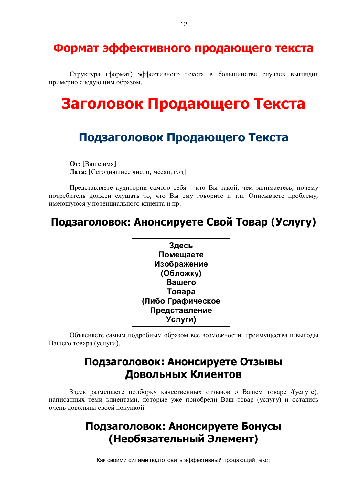# Формат эффективного продающего текста

Структура (формат) эффективного текста в большинстве случаев выглядит примерно следующим образом.

# Заголовок Продающего Текста

# Подзаголовок Продающего Текста

**От:** [Ваше имя] **Дата:** [Сегодняшнее число, месяц, год]

Представляете аудитории самого себя – кто Вы такой, чем занимаетесь, почему потребитель должен слушать то, что Вы ему говорите и т.п. Описываете проблему, имеющуюся у потенциального клиента и пр.

# **ǷȖȌȏȈȋȖȓȖȊȖȒ: ǨȕȖȕșȐȘțȍȚȍǹȊȖȑǺȖȊȈȘ (ǻșȓțȋț)**



Объясняете самым подробным образом все возможности, преимущества и выгоды Вашего товара (услуги).

# Подзаголовок: Анонсируете Отзывы **Довольных Клиентов**

Здесь размещаете подборку качественных отзывов о Вашем товаре /(услуге), написанных теми клиентами, которые уже приобрели Ваш товар (услугу) и остались очень довольны своей покупкой.

# Подзаголовок: Анонсируете Бонусы **ǵȍȖȉȧȏȈȚȍȓȤȕȣȑȅȓȍȔȍȕȚ)**

Как своими силами подготовить эффективный продающий текст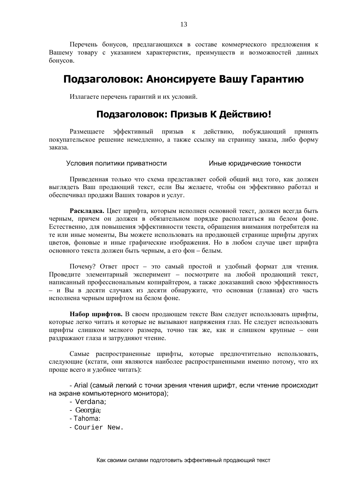Перечень бонусов, предлагающихся в составе коммерческого предложения к Вашему товару с указанием характеристик, преимуществ и возможностей данных бонусов.

# Подзаголовок: Анонсируете Вашу Гарантию

Излагаете перечень гарантий и их условий.

### Подзаголовок: Призыв К Действию!

Размещаете эффективный призыв к действию, побуждающий принять покупательское решение немедленно, а также ссылку на страницу заказа, либо форму заказа.

Условия политики приватности и иные юридические тонкости

Приведенная только что схема представляет собой общий вид того, как должен выглядеть Ваш продающий текст, если Вы желаете, чтобы он эффективно работал и обеспечивал продажи Ваших товаров и услуг.

Раскладка. Цвет шрифта, которым исполнен основной текст, должен всегда быть черным, причем он должен в обязательном порядке располагаться на белом фоне. Естественно, для повышения эффективности текста, обращения внимания потребителя на те или иные моменты, Вы можете использовать на продающей странице шрифты других цветов, фоновые и иные графические изображения. Но в любом случае цвет шрифта основного текста лолжен быть черным, а его фон – белым.

Почему? Ответ прост – это самый простой и удобный формат для чтения. Проведите элементарный эксперимент – посмотрите на любой продающий текст, написанный профессиональным копирайтером, а также доказавший свою эффективность – и Вы в десяти случаях из десяти обнаружите, что основная (главная) его часть исполнена черным шрифтом на белом фоне.

**Набор шрифтов.** В своем продающем тексте Вам следует использовать шрифты, которые легко читать и которые не вызывают напряжения глаз. Не следует использовать шрифты слишком мелкого размера, точно так же, как и слишком крупные – они раздражают глаза и затрудняют чтение.

Самые распространенные шрифты, которые предпочтительно использовать, следующие (кстати, они являются наиболее распространенными именно потому, что их проще всего и удобнее читать):

- Arial (самый легкий с точки зрения чтения шрифт, если чтение происходит на экране компьютерного монитора);

- Verdana;
- Georgia;
- Tahoma:
- Courier New.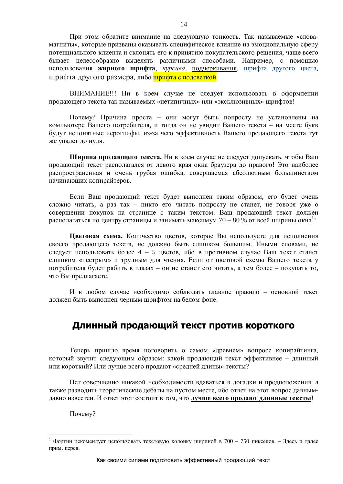При этом обратите внимание на следующую тонкость. Так называемые «словамагниты», которые призваны оказывать специфическое влияние на эмоциональную сферу потенциального клиента и склонять его к принятию покупательского решения, чаще всего бывает целесообразно выделять различными способами. Например, с помощью использования жирного шрифта, курсива, подчеркивания, шрифта другого цвета, шрифта другого размера, либо **шрифта с подсветкой**.

ВНИМАНИЕ!!! Ни в коем случае не следует использовать в оформлении продающего текста так называемых «нетипичных» или «эксклюзивных» шрифтов!

Почему? Причина проста – они могут быть попросту не установлены на компьютере Вашего потребителя, и тогда он не увидит Вашего текста – на месте букв будут непонятные иероглифы, из-за чего эффективность Вашего продающего текста тут же упадет до нуля.

Ширина продающего текста. Ни в коем случае не следует допускать, чтобы Ваш продающий текст располагался от левого края окна браузера до правого! Это наиболее распространенная и очень грубая ошибка, совершаемая абсолютным большинством начинающих копирайтеров.

Если Ваш продающий текст будет выполнен таким образом, его будет очень сложно читать, а раз так – никто его читать попросту не станет, не говоря уже о совершении покупок на странице с таким текстом. Ваш продающий текст должен располагаться по центру страницы и занимать максимум 70 – 80 % от всей ширины окна<sup>1</sup>!

Цветовая схема. Количество цветов, которое Вы используете для исполнения своего продающего текста, не должно быть слишком большим. Иными словами, не следует использовать более  $4 - 5$  цветов, ибо в противном случае Ваш текст станет слишком «пестрым» и трудным для чтения. Если от цветовой схемы Вашего текста у потребителя будет рябить в глазах – он не станет его читать, а тем более – покупать то, что Вы предлагаете.

И в любом случае необходимо соблюдать главное правило – основной текст должен быть выполнен черным шрифтом на белом фоне.

### Длинный продающий текст против короткого

Теперь пришло время поговорить о самом «древнем» вопросе копирайтинга, который звучит следующим образом: какой продающий текст эффективнее – длинный или короткий? Или лучше всего продают «средней длины» тексты?

Нет совершенно никакой необходимости вдаваться в догадки и предположения, а также разводить теоретические дебаты на пустом месте, ибо ответ на этот вопрос давнымдавно известен. И ответ этот состоит в том, что лучше всего продают длинные тексты!

Почему?

<sup>1</sup> Фортин рекомендует использовать текстовую колонку шириной в 700 – 750 пикселов. – Здесь и далее прим. перев.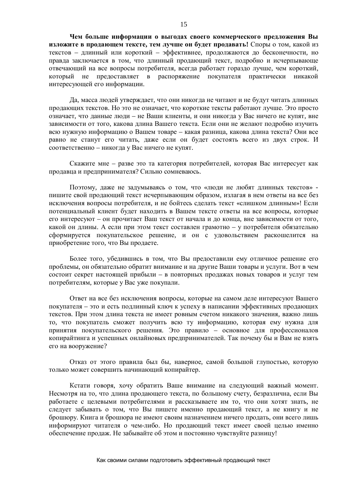Чем больше информации о выголах своего коммерческого предложения Вы **изложите в продающем тексте, тем лучше он будет продавать!** Споры о том, какой из текстов – длинный или короткий – эффективнее, продолжаются до бесконечности, но правла заключается в том, что ллинный пролающий текст, полробно и исчерпывающе отвечающий на все вопросы потребителя, всегда работает гораздо лучше, чем короткий, который не предоставляет в распоряжение покупателя практически никакой интересующей его информации.

Да, масса людей утверждает, что они никогда не читают и не будут читать длинных продающих текстов. Но это не означает, что короткие тексты работают лучше. Это просто означает, что данные люди – не Ваши клиенты, и они никогда у Вас ничего не купят, вне зависимости от того, какова ллина Вашего текста. Если они не желают полробно изучить всю нужную информацию о Вашем товаре – какая разница, какова длина текста? Они все равно не станут его читать, даже если он будет состоять всего из двух строк. И соответственно – никогда у Вас ничего не купят.

Скажите мне – разве это та категория потребителей, которая Вас интересует как продавца и предпринимателя? Сильно сомневаюсь.

Поэтому, даже не задумываясь о том, что «люди не любят длинных текстов» пишите свой продающий текст исчерпывающим образом, излагая в нем ответы на все без исключения вопросы потребителя, и не бойтесь сделать текст «слишком длинным»! Если потенциальный клиент будет находить в Вашем тексте ответы на все вопросы, которые его интересуют – он прочитает Ваш текст от начала и до конца, вне зависимости от того, какой он длины. А если при этом текст составлен грамотно – у потребителя обязательно сформируется покупательское решение, и он с удовольствием раскошелится на приобретение того, что Вы продаете.

Более того, убедившись в том, что Вы предоставили ему отличное решение его проблемы, он обязательно обратит внимание и на другие Ваши товары и услуги. Вот в чем состоит секрет настоящей прибыли – в повторных продажах новых товаров и услуг тем потребителям, которые у Вас уже покупали.

Ответ на все без исключения вопросы, которые на самом деле интересуют Вашего покупателя – это и есть подлинный ключ к успеху в написании эффективных продающих текстов. При этом длина текста не имеет ровным счетом никакого значения, важно лишь то, что покупатель сможет получить всю ту информацию, которая ему нужна для принятия покупательского решения. Это правило – основное для профессионалов копирайтинга и успешных онлайновых предпринимателей. Так почему бы и Вам не взять его на вооружение?

Отказ от этого правила был бы, наверное, самой большой глупостью, которую только может совершить начинающий копирайтер.

Кстати говоря, хочу обратить Ваше внимание на следующий важный момент. Несмотря на то, что ллина продающего текста, по большому счету, безразлична, если Вы работаете с целевыми потребителями и рассказываете им то, что они хотят знать, не следует забывать о том, что Вы пишете именно продающий текст, а не книгу и не брошюру. Книга и брошюра не имеют своим назначением ничего продать, они всего лишь информируют читателя о чем-либо. Но продающий текст имеет своей целью именно обеспечение продаж. Не забывайте об этом и постоянно чувствуйте разницу!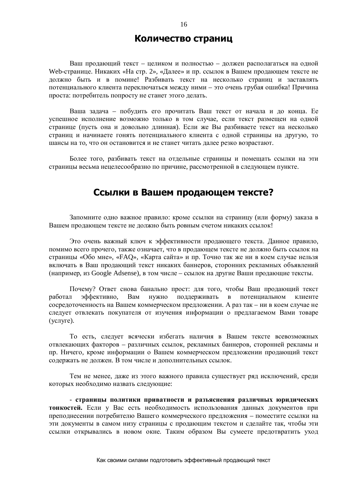### Количество страниц

Ваш продающий текст – целиком и полностью – должен располагаться на одной Web-странице. Никаких «На стр. 2», «Далее» и пр. ссылок в Вашем продающем тексте не должно быть и в помине! Разбивать текст на несколько страниц и заставлять потенциального клиента переключаться между ними – это очень грубая ошибка! Причина проста: потребитель попросту не станет этого делать.

Ваша задача – побудить его прочитать Ваш текст от начала и до конца. Ее успешное исполнение возможно только в том случае, если текст размещен на одной странице (пусть она и довольно длинная). Если же Вы разбиваете текст на несколько страниц и начинаете гонять потенциального клиента с одной страницы на другую, то шансы на то, что он остановится и не станет читать далее резко возрастают.

Более того, разбивать текст на отдельные страницы и помещать ссылки на эти страницы весьма нецелесообразно по причине, рассмотренной в следующем пункте.

### Ссылки в Вашем продающем тексте?

Запомните одно важное правило: кроме ссылки на страницу (или форму) заказа в Вашем продающем тексте не должно быть ровным счетом никаких ссылок!

Это очень важный ключ к эффективности продающего текста. Данное правило, помимо всего прочего, также означает, что в продающем тексте не должно быть ссылок на страницы «Обо мне», «FAQ», «Карта сайта» и пр. Точно так же ни в коем случае нельзя включать в Ваш продающий текст никаких баннеров, сторонних рекламных объявлений (например, из Google Adsense), в том числе – ссылок на другие Ваши продающие тексты.

Почему? Ответ снова банально прост: для того, чтобы Ваш продающий текст работал эффективно, Вам нужно поддерживать в потенциальном клиенте сосредоточенность на Вашем коммерческом предложении. А раз так – ни в коем случае не следует отвлекать покупателя от изучения информации о предлагаемом Вами товаре  $(yc<sub>Л</sub>y<sub>re</sub>)$ .

То есть, следует всячески избегать наличия в Вашем тексте всевозможных отвлекающих факторов - различных ссылок, рекламных баннеров, сторонней рекламы и пр. Ничего, кроме информации о Вашем коммерческом предложении продающий текст содержать не должен. В том числе и дополнительных ссылок.

Тем не менее, даже из этого важного правила существует ряд исключений, среди которых необходимо назвать следующие:

- страницы политики приватности и разъяснения различных юридических **тонкостей.** Если у Вас есть необхолимость использования ланных локументов при преподнесении потребителю Вашего коммерческого предложения – поместите ссылки на эти документы в самом низу страницы с продающим текстом и сделайте так, чтобы эти ссылки открывались в новом окне. Таким образом Вы сумеете предотвратить уход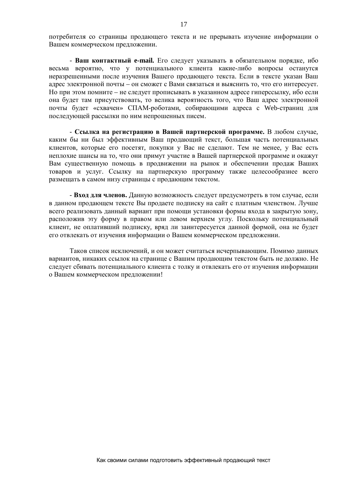потребителя со страницы продающего текста и не прерывать изучение информации о Вашем коммерческом предложении.

- Ваш контактный **e-mail.** Его следует указывать в обязательном порядке, ибо весьма вероятно, что у потенциального клиента какие-либо вопросы останутся неразрешенными после изучения Вашего продающего текста. Если в тексте указан Ваш адрес электронной почты – он сможет с Вами связаться и выяснить то, что его интересует. Но при этом помните – не следует прописывать в указанном адресе гиперссылку, ибо если она будет там присутствовать, то велика вероятность того, что Ваш адрес электронной почты будет «схвачен» СПАМ-роботами, собирающими адреса с Web-страниц для последующей рассылки по ним непрошенных писем.

- Ссылка на регистрацию в Вашей партнерской программе. В любом случае, каким бы ни был эффективным Ваш продающий текст, большая часть потенциальных клиентов, которые его посетят, покупки у Вас не сделают. Тем не менее, у Вас есть неплохие шансы на то, что они примут участие в Вашей партнерской программе и окажут Вам существенную помощь в продвижении на рынок и обеспечении продаж Ваших товаров и услуг. Ссылку на партнерскую программу также целесообразнее всего размешать в самом низу страницы с продающим текстом.

- Вход для членов. Данную возможность следует предусмотреть в том случае, если в данном продающем тексте Вы продаете подписку на сайт с платным членством. Лучше всего реализовать данный вариант при помощи установки формы входа в закрытую зону, расположив эту форму в правом или левом верхнем углу. Поскольку потенциальный клиент, не оплативший подписку, вряд ли заинтересуется данной формой, она не будет его отвлекать от изучения информации о Вашем коммерческом предложении.

Таков список исключений, и он может считаться исчерпывающим. Помимо данных вариантов, никаких ссылок на странице с Вашим продающим текстом быть не должно. Не следует сбивать потенциального клиента с толку и отвлекать его от изучения информации о Вашем коммерческом предложении!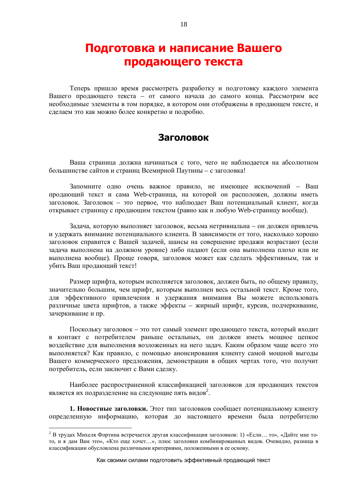# Подготовка и написание Вашего продающего текста

Теперь пришло время рассмотреть разработку и подготовку каждого элемента Вашего продающего текста – от самого начала до самого конца. Рассмотрим все необходимые элементы в том порядке, в котором они отображены в продающем тексте, и сделаем это как можно более конкретно и подробно.

### Заголовок

Ваша страница должна начинаться с того, чего не наблюдается на абсолютном большинстве сайтов и страниц Всемирной Паутины – с заголовка!

Запомните одно очень важное правило, не имеющее исключений – Ваш продающий текст и сама Web-страница, на которой он расположен, должны иметь заголовок. Заголовок – это первое, что наблюдает Ваш потенциальный клиент, когда открывает страницу с продающим текстом (равно как и любую Web-страницу вообще).

Задача, которую выполняет заголовок, весьма нетривиальна – он должен привлечь и удержать внимание потенциального клиента. В зависимости от того, насколько хорошо заголовок справится с Вашей задачей, шансы на совершение продажи возрастают (если задача выполнена на должном уровне) либо падают (если она выполнена плохо или не выполнена вообще). Проще говоря, заголовок может как сделать эффективным, так и убить Ваш продающий текст!

Размер шрифта, которым исполняется заголовок, должен быть, по общему правилу, значительно большим, чем шрифт, которым выполнен весь остальной текст. Кроме того, для эффективного привлечения и удержания внимания Вы можете использовать различные цвета шрифтов, а также эффекты – жирный шрифт, курсив, подчеркивание, зачеркивание и пр.

Поскольку заголовок – это тот самый элемент продающего текста, который входит в контакт с потребителем раньше остальных, он должен иметь мощное цепкое воздействие для выполнения возложенных на него задач. Каким образом чаще всего это выполняется? Как правило, с помощью анонсирования клиенту самой мощной выгоды Вашего коммерческого предложения, демонстрации в общих чертах того, что получит потребитель, если заключит с Вами сделку.

Наиболее распространенной классификацией заголовков для продающих текстов является их подразделение на следующие пять видов<sup>2</sup>.

1. Новостные заголовки. Этот тип заголовков сообщает потенциальному клиенту определенную информацию, которая до настоящего времени была потребителю

<sup>&</sup>lt;sup>2</sup> В трудах Михеля Фортина встречается другая классификация заголовков: 1) «Если... то», «Дайте мне тото, и я дам Вам это», «Кто еще хочет...», плюс заголовки комбинированных видов. Очевидно, разница в классификации обусловлена различными критериями, положенными в ее основу.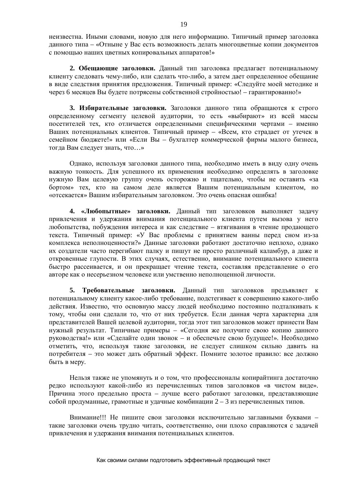неизвестна. Иными словами, новую для него информацию. Типичный пример заголовка данного типа – «Отныне у Вас есть возможность делать многоцветные копии документов с помощью наших цветных копировальных аппаратов!»

**2. Обещающие заголовки.** Данный тип заголовка предлагает потенциальному клиенту следовать чему-либо, или сделать что-либо, а затем дает определенное обещание в виде следствия принятия предложения. Типичный пример: «Следуйте моей методике и через 6 месяцев Вы будете потрясены собственной стройностью! – гарантированно!»

3. Избирательные заголовки. Заголовки данного типа обращаются к строго определенному сегменту целевой аудитории, то есть «выбирают» из всей массы посетителей тех, кто отличается определенными специфическими чертами – именно Ваших потенциальных клиентов. Типичный пример – «Всем, кто страдает от утечек в семейном бюджете!» или «Если Вы – бухгалтер коммерческой фирмы малого бизнеса, тогда Вам следует знать, что...»

Однако, используя заголовки данного типа, необходимо иметь в виду одну очень важную тонкость. Для успешного их применения необходимо определять в заголовке нужную Вам целевую группу очень осторожно и тщательно, чтобы не оставить «за бортом» тех, кто на самом деле является Вашим потенциальным клиентом, но «отсекается» Вашим избирательным заголовком. Это очень опасная ошибка!

4. «Любопытные» заголовки. Данный тип заголовков выполняет задачу привлечения и удержания внимания потенциального клиента путем вызова у него любопытства, побуждения интереса и как следствие – втягивания в чтение продающего текста. Типичный пример: «У Вас проблемы с принятием ванны перед сном из-за комплекса неполноценности?» Данные заголовки работают достаточно неплохо, однако их создатели часто перегибают палку и пишут не просто различный каламбур, а даже и откровенные глупости. В этих случаях, естественно, внимание потенциального клиента быстро рассеивается, и он прекращает чтение текста, составляя представление о его авторе как о несерьезном человеке или умственно неполноценной личности.

5. Требовательные заголовки. Данный тип заголовков предъявляет к потенциальному клиенту какое-либо требование, подстегивает к совершению какого-либо действия. Известно, что основную массу людей необходимо постоянно подталкивать к тому, чтобы они сделали то, что от них требуется. Если данная черта характерна для представителей Вашей целевой аудитории, тогда этот тип заголовков может принести Вам нужный результат. Типичные примеры - «Сегодня же получите свою копию данного руководства!» или «Сделайте один звонок – и обеспечьте свою будущее!». Необходимо отметить, что, используя такие заголовки, не следует слишком сильно давить на потребителя – это может дать обратный эффект. Помните золотое правило: все должно быть в меру.

Нельзя также не упомянуть и о том, что профессионалы копирайтинга достаточно редко используют какой-либо из перечисленных типов заголовков «в чистом виде». Причина этого предельно проста – лучше всего работают заголовки, представляющие собой продуманные, грамотные и удачные комбинации 2 – 3 из перечисленных типов.

Внимание!!! Не пишите свои заголовки исключительно заглавными буквами – такие заголовки очень трудно читать, соответственно, они плохо справляются с задачей привлечения и удержания внимания потенциальных клиентов.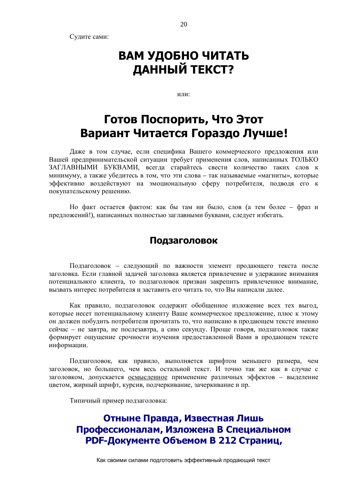Судите сами:

# ВАМ УДОБНО ЧИТАТЬ **ДАННЫЙ ТЕКСТ?**

ипи·

# Готов Поспорить, Что Этот Вариант Читается Гораздо Лучше!

Даже в том случае, если специфика Вашего коммерческого предложения или Вашей предпринимательской ситуации требует применения слов, написанных ТОЛЬКО ЗАГЛАВНЫМИ БУКВАМИ, всегда старайтесь свести количество таких слов к минимуму, а также убедитесь в том, что эти слова - так называемые «магниты», которые эффективно воздействуют на эмоциональную сферу потребителя, подводя его к покупательскому решению.

Но факт остается фактом: как бы там ни было, слов (а тем более – фраз и предложений!), написанных полностью заглавными буквами, следует избегать.

### Подзаголовок

Подзаголовок – следующий по важности элемент продающего текста после заголовка. Если главной задачей заголовка является привлечение и удержание внимания потенциального клиента, то подзаголовок призван закрепить привлеченное внимание, вызвать интерес потребителя и заставить его читать то, что Вы написали далее.

Как правило, подзаголовок содержит обобщенное изложение всех тех выгод, которые несет потенциальному клиенту Ваше коммерческое предложение, плюс к этому он должен побудить потребителя прочитать то, что написано в продающем тексте именно сейчас – не завтра, не послезавтра, а сию секунду. Проще говоря, подзаголовок также формирует ощущение срочности изучения предоставленной Вами в продающем тексте информации.

Подзаголовок, как правило, выполняется шрифтом меньшего размера, чем заголовок, но большего, чем весь остальной текст. И точно так же как в случае с заголовком, допускается осмысленное применение различных эффектов – выделение цветом, жирный шрифт, курсив, подчеркивание, зачеркивание и пр.

Типичный пример подзаголовка:

Отныне Правда, Известная Лишь Профессионалам, Изложена В Специальном РОГ-Документе Объемом В 212 Страниц,

Как своими силами подготовить эффективный продающий текст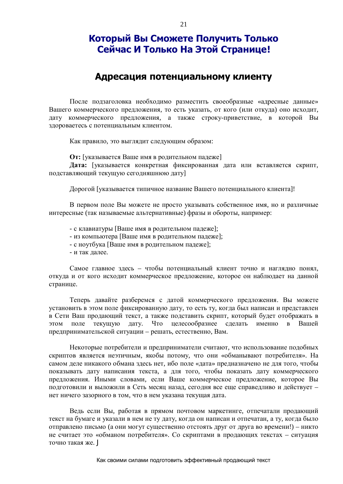# Который Вы Сможете Получить Только Сейчас И Только На Этой Странице!

### **ǨȌȘȍșȈȞȐȧȗȖȚȍȕȞȐȈȓȤȕȖȔțȒȓȐȍȕȚț**

После подзаголовка необходимо разместить своеобразные «адресные данные» Вашего коммерческого предложения, то есть указать, от кого (или откуда) оно исходит, дату коммерческого предложения, а также строку-приветствие, в которой Вы здороваетесь с потенциальным клиентом.

Как правило, это выглядит следующим образом:

**От:** [указывается Ваше имя в родительном падеже]

Дата: [указывается конкретная фиксированная дата или вставляется скрипт, подставляющий текущую сегодняшнюю дату]

Дорогой [указывается типичное название Вашего потенциального клиента]!

В первом поле Вы можете не просто указывать собственное имя, но и различные интересные (так называемые альтернативные) фразы и обороты, например:

- с клавиатуры [Ваше имя в родительном падеже];
- из компьютера [Ваше имя в родительном падеже];
- с ноутбука [Ваше имя в родительном падеже];
- и так лалее.

Самое главное здесь – чтобы потенциальный клиент точно и наглядно понял, откуда и от кого исходит коммерческое предложение, которое он наблюдает на данной странице.

Теперь давайте разберемся с датой коммерческого предложения. Вы можете установить в этом поле фиксированную дату, то есть ту, когда был написан и представлен в Сети Ваш продающий текст, а также подставить скрипт, который будет отображать в этом поле текущую дату. Что целесообразнее сделать именно в Вашей предпринимательской ситуации – решать, естественно, Вам.

Некоторые потребители и предприниматели считают, что использование подобных скриптов является неэтичным, якобы потому, что они «обманывают потребителя». На самом деле никакого обмана здесь нет, ибо поле «дата» предназначено не для того, чтобы показывать дату написания текста, а для того, чтобы показать дату коммерческого предложения. Иными словами, если Ваше коммерческое предложение, которое Вы полготовили и выложили в Сеть месяц назал, сеголня все еще справелливо и лействует – нет ничего зазорного в том, что в нем указана текущая дата.

Ведь если Вы, работая в прямом почтовом маркетинге, отпечатали продающий текст на бумаге и указали в нем не ту дату, когда он написан и отпечатан, а ту, когда было отправлено письмо (а они могут существенно отстоять друг от друга во времени!) – никто не считает это «обманом потребителя». Со скриптами в продающих текстах - ситуация точно такая же. J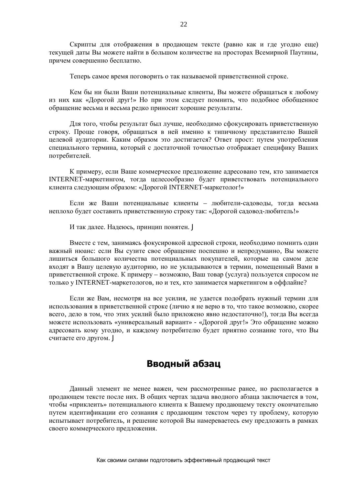Скрипты для отображения в продающем тексте (равно как и где угодно еще) текущей даты Вы можете найти в большом количестве на просторах Всемирной Паутины, причем совершенно бесплатно.

Теперь самое время поговорить о так называемой приветственной строке.

Кем бы ни были Ваши потенциальные клиенты, Вы можете обращаться к любому из них как «Дорогой друг!» Но при этом следует помнить, что подобное обобщенное обращение весьма и весьма редко приносит хорошие результаты.

Для того, чтобы результат был лучше, необходимо сфокусировать приветственную строку. Проще говоря, обращаться в ней именно к типичному представителю Вашей целевой аудитории. Каким образом это достигается? Ответ прост: путем употребления специального термина, который с достаточной точностью отображает специфику Ваших потребителей.

К примеру, если Ваше коммерческое предложение адресовано тем, кто занимается INTERNET-маркетингом, тогда целесообразно будет приветствовать потенциального клиента следующим образом: «Дорогой INTERNET-маркетолог!»

Если же Ваши потенциальные клиенты – любители-садоводы, тогда весьма неплохо будет составить приветственную строку так: «Дорогой садовод-любитель!»

И так далее. Надеюсь, принцип понятен. Ј

Вместе с тем, занимаясь фокусировкой адресной строки, необходимо помнить один важный нюанс: если Вы сузите свое обращение поспешно и непродуманно, Вы можете лишиться большого количества потенциальных покупателей, которые на самом деле входят в Вашу целевую аудиторию, но не укладываются в термин, помещенный Вами в приветственной строке. К примеру – возможно, Ваш товар (услуга) пользуется спросом не только у INTERNET-маркетологов, но и тех, кто занимается маркетингом в оффлайне?

Если же Вам, несмотря на все усилия, не удается подобрать нужный термин для использования в приветственной строке (лично я не верю в то, что такое возможно, скорее всего, дело в том, что этих усилий было приложено явно недостаточно!), тогда Вы всегда можете использовать «универсальный вариант» - «Дорогой друг!» Это обращение можно адресовать кому угодно, и каждому потребителю будет приятно сознание того, что Вы считаете его другом. J

# Вводный абзац

Данный элемент не менее важен, чем рассмотренные ранее, но располагается в продающем тексте после них. В общих чертах задача вводного абзаца заключается в том, чтобы «приклеить» потенциального клиента к Вашему продающему тексту окончательно путем идентификации его сознания с продающим текстом через ту проблему, которую испытывает потребитель, и решение которой Вы намереваетесь ему предложить в рамках своего коммерческого предложения.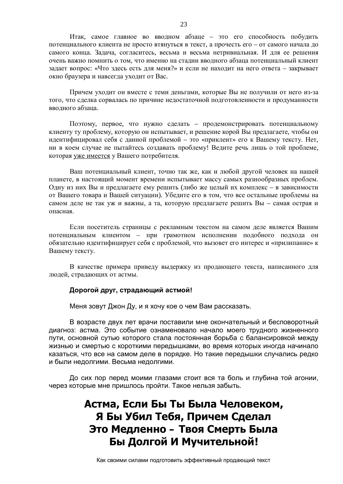Итак, самое главное во вводном абзаце – это его способность побудить потенциального клиента не просто втянуться в текст, а прочесть его – от самого начала до самого конца. Задача, согласитесь, весьма и весьма нетривиальная. И для ее решения очень важно помнить о том, что именно на сталии вволного абзаца потенциальный клиент задает вопрос: «Что здесь есть для меня?» и если не находит на него ответа – закрывает окно браузера и навсегда уходит от Вас.

Причем уходит он вместе с теми деньгами, которые Вы не получили от него из-за того, что сделка сорвалась по причине недостаточной подготовленности и продуманности вволного абзана.

Поэтому, первое, что нужно сделать – продемонстрировать потенциальному клиенту ту проблему, которую он испытывает, и решение корой Вы предлагаете, чтобы он идентифицировал себя с данной проблемой – это «приклеит» его к Вашему тексту. Нет, ни в коем случае не пытайтесь создавать проблему! Ведите речь лишь о той проблеме, которая уже имеется у Вашего потребителя.

Ваш потенциальный клиент, точно так же, как и любой другой человек на нашей планете, в настоящий момент времени испытывает массу самых разнообразных проблем. Одну из них Вы и предлагаете ему решить (либо же целый их комплекс – в зависимости от Вашего товара и Вашей ситуации). Убедите его в том, что все остальные проблемы на самом деле не так уж и важны, а та, которую предлагаете решить Вы – самая острая и опасная.

Если посетитель страницы с рекламным текстом на самом деле является Вашим потенциальным клиентом – при грамотном исполнении подобного подхода он обязательно идентифицирует себя с проблемой, что вызовет его интерес и «прилипание» к Вашему тексту.

В качестве примера приведу выдержку из продающего текста, написанного для людей, страдающих от астмы.

#### $\bm{\mu}$ дорогой друг, страдающий астмой!

Меня зовут Джон Ду, и я хочу кое о чем Вам рассказать.

В возрасте двух лет врачи поставили мне окончательный и бесповоротный диагноз: астма. Это событие ознаменовало начало моего трудного жизненного пути, основной сутью которого стала постоянная борьба с балансировкой между жизнью и смертью с короткими передышками, во время которых иногда начинало казаться, что все на самом деле в порядке. Но такие передышки случались редко и были недолгими. Весьма недолгими.

До сих пор перед моими глазами стоит вся та боль и глубина той агонии, через которые мне пришлось пройти. Такое нельзя забыть.

# **ǨșȚȔȈ, ǭșȓȐǩȣǺȣǩȣȓȈǿȍȓȖȊȍȒȖȔ, Я Бы Убил Тебя, Причем Сделал** Это Медленно – Твоя Смерть Была Бы Долгой И Мучительной!

Как своими силами подготовить эффективный продающий текст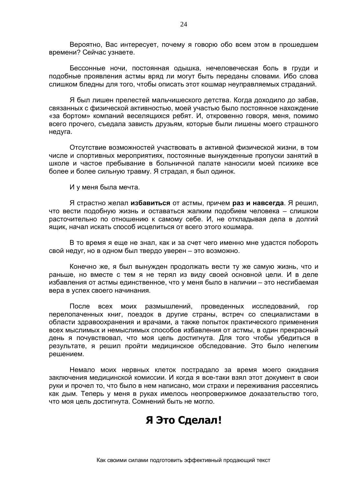Вероятно, Вас интересует, почему я говорю обо всем этом в прошедшем времени? Сейчас узнаете.

Бессонные ночи, постоянная одышка, нечеловеческая боль в груди и подобные проявления астмы вряд ли могут быть переданы словами. Ибо слова слишком бледны для того, чтобы описать этот кошмар неуправляемых страданий.

Я был лишен прелестей мальчишеского детства. Когда доходило до забав, связанных с физической активностью, моей участью было постоянное нахождение «за бортом» компаний веселящихся ребят. И, откровенно говоря, меня, помимо всего прочего, съедала зависть друзьям, которые были лишены моего страшного недуга.

Отсутствие возможностей участвовать в активной физической жизни, в том числе и спортивных мероприятиях, постоянные вынужденные пропуски занятий в школе и частое пребывание в больничной палате наносили моей психике все более и более сильную травму. Я страдал, я был одинок.

И у меня была мечта.

Я страстно желал **избавиться** от астмы, причем **раз и навсегда**. Я решил, что вести подобную жизнь и оставаться жалким подобием человека – слишком расточительно по отношению к самому себе. И, не откладывая дела в долгий ящик, начал искать способ исцелиться от всего этого кошмара.

В то время я еще не знал, как и за счет чего именно мне удастся побороть свой недуг, но в одном был твердо уверен – это возможно.

Конечно же, я был вынужден продолжать вести ту же самую жизнь, что и раньше, но вместе с тем я не терял из виду своей основной цели. И в деле избавления от астмы единственное, что у меня было в наличии – это несгибаемая вера в успех своего начинания.

После всех моих размышлений, проведенных исследований, гор перелопаченных книг, поездок в другие страны, встреч со специалистами в области здравоохранения и врачами, а также попыток практического применения всех мыслимых и немыслимых способов избавления от астмы, в один прекрасный день я почувствовал, что моя цель достигнута. Для того чтобы убедиться в результате, я решил пройти медицинское обследование. Это было нелегким решением.

Немало моих нервных клеток пострадало за время моего ожидания заключения медицинской комиссии. И когда я все-таки взял этот документ в свои руки и прочел то, что было в нем написано, мои страхи и переживания рассеялись как дым. Теперь у меня в руках имелось неопровержимое доказательство того, что моя цель достигнута. Сомнений быть не могло.

# **ȇȅȚȖǹȌȍȓȈȓ!**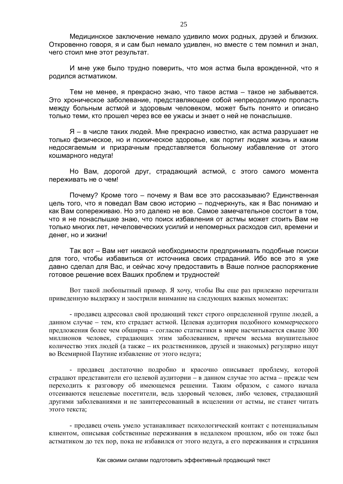Медицинское заключение немало удивило моих родных, друзей и близких. Откровенно говоря, я и сам был немало удивлен, но вместе с тем помнил и знал, чего стоил мне этот результат.

И мне уже было трудно поверить, что моя астма была врожденной, что я родился астматиком.

Тем не менее, я прекрасно знаю, что такое астма – такое не забывается. Это хроническое заболевание, представляющее собой непреодолимую пропасть между больным астмой и здоровым человеком, может быть понято и описано только теми, кто прошел через все ее ужасы и знает о ней не понаслышке.

Я – в числе таких людей. Мне прекрасно известно, как астма разрушает не только физическое, но и психическое здоровье, как портит людям жизнь и каким недосягаемым и призрачным представляется больному избавление от этого кошмарного недуга!

Но Вам, дорогой друг, страдающий астмой, с этого самого момента переживать не о чем!

Почему? Кроме того – почему я Вам все это рассказываю? Единственная цель того, что я поведал Вам свою историю – подчеркнуть, как я Вас понимаю и как Вам сопереживаю. Но это далеко не все. Самое замечательное состоит в том, что я не понаслышке знаю, что поиск избавления от астмы может стоить Вам не только многих лет, нечеловеческих усилий и непомерных расходов сил, времени и денег, но и жизни!

Так вот – Вам нет никакой необходимости предпринимать подобные поиски для того, чтобы избавиться от источника своих страданий. Ибо все это я уже давно сделал для Вас, и сейчас хочу предоставить в Ваше полное распоряжение готовое решение всех Ваших проблем и трудностей!

Вот такой любопытный пример. Я хочу, чтобы Вы еще раз прилежно перечитали приведенную выдержку и заострили внимание на следующих важных моментах:

- продавец адресовал свой продающий текст строго определенной группе людей, а данном случае – тем, кто страдает астмой. Целевая аудитория подобного коммерческого предложения более чем обширна – согласно статистики в мире насчитывается свыше 300 миллионов человек, страдающих этим заболеванием, причем весьма внушительное количество этих людей (а также – их родственников, друзей и знакомых) регулярно ищут во Всемирной Паутине избавление от этого недуга;

- продавец достаточно подробно и красочно описывает проблему, которой страдают представители его целевой аудитории – в данном случае это астма – прежде чем переходить к разговору об имеющемся решении. Таким образом, с самого начала отсеиваются нецелевые посетители, вель здоровый человек, либо человек, страдающий другими заболеваниями и не заинтересованный в исцелении от астмы, не станет читать этого текста:

- продавец очень умело устанавливает психологический контакт с потенциальным клиентом, описывая собственные переживания в недалеком прошлом, ибо он тоже был астматиком до тех пор, пока не избавился от этого недуга, а его переживания и страдания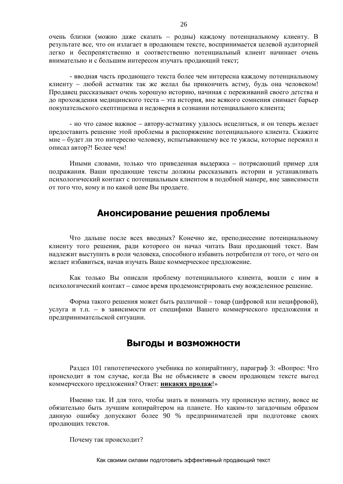очень близки (можно даже сказать – родны) каждому потенциальному клиенту. В результате все, что он излагает в продающем тексте, воспринимается целевой аудиторией легко и беспрепятственно и соответственно потенциальный клиент начинает очень внимательно и с большим интересом изучать продающий текст:

- вводная часть продающего текста более чем интересна каждому потенциальному клиенту – любой астматик так же желал бы прикончить астму, будь она человеком! Продавец рассказывает очень хорошую историю, начиная с переживаний своего детства и до прохождения медицинского теста – эта история, вне всякого сомнения снимает барьер покупательского скептицизма и недоверия в сознании потенциального клиента;

- но что самое важное – автору-астматику удалось исцелиться, и он теперь желает предоставить решение этой проблемы в распоряжение потенциального клиента. Скажите мне – будет ли это интересно человеку, испытывающему все те ужасы, которые пережил и описал автор?! Более чем!

Иными словами, только что приведенная выдержка – потрясающий пример для подражания. Ваши продающие тексты должны рассказывать истории и устанавливать психологический контакт с потенциальным клиентом в полобной манере, вне зависимости от того что, кому и по какой цене Вы продаете.

### **ǨȕȖȕșȐȘȖȊȈȕȐȍȘȍȠȍȕȐȧȗȘȖȉȓȍȔȣ**

Что дальше после всех вводных? Конечно же, преподнесение потенциальному клиенту того решения, ради которого он начал читать Ваш продающий текст. Вам надлежит выступить в роли человека, способного избавить потребителя от того, от чего он желает избавиться, начав изучать Ваше коммерческое предложение.

Как только Вы описали проблему потенциального клиента, вошли с ним в психологический контакт – самое время продемонстрировать ему вожделенное решение.

Форма такого решения может быть различной – товар (цифровой или нецифровой), услуга и т.п. - в зависимости от специфики Вашего коммерческого предложения и предпринимательской ситуации.

### Выгоды и возможности

Раздел 101 гипотетического учебника по копирайтингу, параграф 3: «Вопрос: Что происходит в том случае, когда Вы не объясняете в своем продающем тексте выгод коммерческого предложения? Ответ: **никаких продаж!»** 

Именно так. И для того, чтобы знать и понимать эту прописную истину, вовсе не обязательно быть лучшим копирайтером на планете. Но каким-то загадочным образом данную ошибку допускают более 90 % предпринимателей при подготовке своих продающих текстов.

Почему так происходит?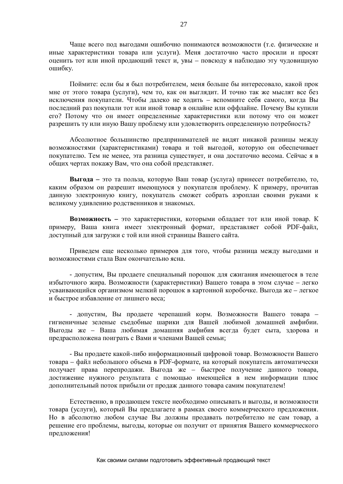Чаще всего под выгодами ошибочно понимаются возможности (т.е. физические и иные характеристики товара или услуги). Меня достаточно часто просили и просят оценить тот или иной продающий текст и, увы – повсюду я наблюдаю эту чудовишную ошибку.

Поймите: если бы я был потребителем, меня больше бы интересовало, какой прок мне от этого товара (услуги), чем то, как он выглядит. И точно так же мыслят все без исключения покупатели. Чтобы далеко не ходить - вспомните себя самого, когда Вы последний раз покупали тот или иной товар в онлайне или оффлайне. Почему Вы купили его? Потому что он имеет определенные характеристики или потому что он может разрешить ту или иную Вашу проблему или удовлетворить определенную потребность?

Абсолютное большинство предпринимателей не видят никакой разницы между возможностями (характеристиками) товара и той выгодой, которую он обеспечивает покупателю. Тем не менее, эта разница существует, и она достаточно весома. Сейчас я в общих чертах покажу Вам, что она собой представляет.

**Выгола** – это та польза, которую Ваш товар (услуга) принесет потребителю, то, каким образом он разрешит имеющуюся у покупателя проблему. К примеру, прочитав данную электронную книгу, покупатель сможет собрать аэроплан своими руками к великому удивлению родственников и знакомых.

**Возможность** – это характеристики, которыми обладает тот или иной товар. К примеру, Ваша книга имеет электронный формат, представляет собой PDF-файл, доступный для загрузки с той или иной страницы Вашего сайта.

Приведем еще несколько примеров для того, чтобы разница между выгодами и возможностями стапа Вам окончательно ясна

- допустим, Вы продаете специальный порошок для сжигания имеющегося в теле избыточного жира. Возможности (характеристики) Вашего товара в этом случае – легко усваивающийся организмом мелкий порошок в картонной коробочке. Выгода же - легкое и быстрое избавление от лишнего веса;

- лопустим. Вы продаете черепаший корм. Возможности Вашего товара – гигиеничные зеленые съедобные шарики для Вашей любимой домашней амфибии. Выгоды же – Ваша любимая домашняя амфибия всегда будет сыта, здорова и предрасположена поиграть с Вами и членами Вашей семьи:

- Вы продаете какой-либо информационный цифровой товар. Возможности Вашего товара – файл небольшого объема в PDF-формате, на который покупатель автоматически получает права перепродажи. Выгода же – быстрое получение данного товара, достижение нужного результата с помощью имеющейся в нем информации плюс дополнительный поток прибыли от продаж данного товара самим покупателем!

Естественно, в продающем тексте необходимо описывать и выгоды, и возможности товара (услуги), который Вы предлагаете в рамках своего коммерческого предложения. Но в абсолютно любом случае Вы должны продавать потребителю не сам товар, а решение его проблемы, выгоды, которые он получит от принятия Вашего коммерческого предложения!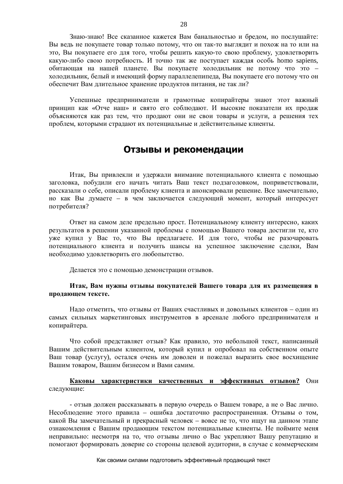Знаю-знаю! Все сказанное кажется Вам банальностью и бредом, но послушайте: Вы ведь не покупаете товар только потому, что он так-то выглядит и похож на то или на это, Вы покупаете его для того, чтобы решить какую-то свою проблему, удовлетворить какую-либо свою потребность. И точно так же поступает каждая особь homo sapiens, обитающая на нашей планете. Вы покупаете холодильник не потому что это – холодильник, белый и имеющий форму параллелепипеда, Вы покупаете его потому что он обеспечит Вам длительное хранение продуктов питания, не так ли?

Успешные предприниматели и грамотные копирайтеры знают этот важный принцип как «Отче наш» и свято его соблюдают. И высокие показатели их продаж объясняются как раз тем, что продают они не свои товары и услуги, а решения тех проблем, которыми страдают их потенциальные и действительные клиенты.

### **Отзывы и рекомендации**

Итак, Вы привлекли и удержали внимание потенциального клиента с помощью заголовка, побудили его начать читать Ваш текст подзаголовком, поприветствовали, рассказали о себе, описали проблему клиента и анонсировали решение. Все замечательно, но как Вы лумаете – в чем заключается слелующий момент, который интересует потребителя?

Ответ на самом деле предельно прост. Потенциальному клиенту интересно, каких результатов в решении указанной проблемы с помощью Вашего товара достигли те, кто уже купил у Вас то, что Вы предлагаете. И для того, чтобы не разочаровать потенциального клиента и получить шансы на успешное заключение сделки, Вам необходимо удовлетворить его любопытство.

Делается это с помошью демонстрации отзывов.

#### Итак, Вам нужны отзывы покупателей Вашего товара для их размещения в продающем тексте.

Надо отметить, что отзывы от Ваших счастливых и довольных клиентов – один из самых сильных маркетинговых инструментов в арсенале любого предпринимателя и копирайтера.

Что собой представляет отзыв? Как правило, это небольшой текст, написанный Вашим действительным клиентом, который купил и опробовал на собственном опыте Ваш товар (услугу), остался очень им доволен и пожелал выразить свое восхищение Вашим товаром, Вашим бизнесом и Вами самим.

#### Каковы характеристики качественных и эффективных отзывов? Они следующие:

- отзыв должен рассказывать в первую очередь о Вашем товаре, а не о Вас лично. Несоблюдение этого правила – ошибка достаточно распространенная. Отзывы о том. какой Вы замечательный и прекрасный человек – вовсе не то, что ищут на данном этапе ознакомления с Вашим продающим текстом потенциальные клиенты. Не поймите меня неправильно: несмотря на то, что отзывы лично о Вас укрепляют Вашу репутацию и помогают формировать доверие со стороны целевой аудитории, в случае с коммерческим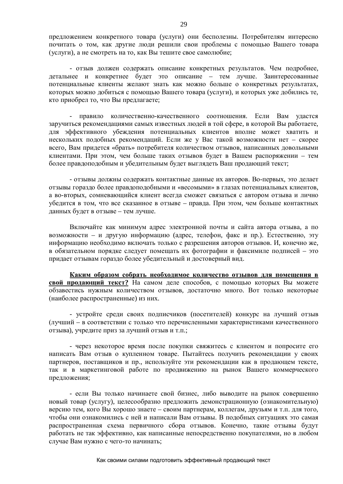предложением конкретного товара (услуги) они бесполезны. Потребителям интересно почитать о том, как другие люди решили свои проблемы с помощью Вашего товара (услуги), а не смотреть на то, как Вы тешите свое самолюбие;

- отзыв должен содержать описание конкретных результатов. Чем подробнее, детальнее и конкретнее будет это описание – тем лучше. Заинтересованные потенциальные клиенты желают знать как можно больше о конкретных результатах, которых можно добиться с помощью Вашего товара (услуги), и которых уже добились те, кто приобрел то, что Вы предлагаете;

правило количественно-качественного соотношения. Если Вам удастся заручиться рекомендациями самых известных людей в той сфере, в которой Вы работаете, для эффективного убеждения потенциальных клиентов вполне может хватить и нескольких подобных рекомендаций. Если же у Вас такой возможности нет – скорее всего, Вам придется «брать» потребителя количеством отзывов, написанных довольными клиентами. При этом, чем больше таких отзывов будет в Вашем распоряжении – тем более правдоподобным и убедительным будет выглядеть Ваш продающий текст;

- отзывы должны содержать контактные данные их авторов. Во-первых, это делает отзывы гораздо более правдоподобными и «весомыми» в глазах потенциальных клиентов, а во-вторых, сомневающийся клиент всегда сможет связаться с автором отзыва и лично убедится в том, что все сказанное в отзыве – правда. При этом, чем больше контактных данных будет в отзыве – тем лучше.

Включайте как минимум адрес электронной почты и сайта автора отзыва, а по возможности – и другую информацию (адрес, телефон, факс и пр.). Естественно, эту информацию необходимо включать только с разрешения авторов отзывов. И, конечно же, в обязательном порядке следует помещать их фотографии и факсимиле подписей – это придает отзывам гораздо более убедительный и достоверный вид.

Каким образом собрать необходимое количество отзывов для помещения в **свой продающий текст?** На самом деле способов, с помощью которых Вы можете обзавестись нужным количеством отзывов, достаточно много. Вот только некоторые (наиболее распространенные) из них.

- устройте среди своих подписчиков (посетителей) конкурс на лучший отзыв (лучший – в соответствии с только что перечисленными характеристиками качественного отзыва), учредите приз за лучший отзыв и т.п.;

- через некоторое время после покупки свяжитесь с клиентом и попросите его написать Вам отзыв о купленном товаре. Пытайтесь получить рекомендации у своих партнеров, поставщиков и пр., используйте эти рекомендации как в продающем тексте, так и в маркетинговой работе по продвижению на рынок Вашего коммерческого предложения;

- если Вы только начинаете свой бизнес, либо выволите на рынок совершенно новый товар (услугу), целесообразно предложить демонстрационную (ознакомительную) версию тем, кого Вы хорошо знаете – своим партнерам, коллегам, друзьям и т.п. для того, чтобы они ознакомились с ней и написали Вам отзывы. В подобных ситуациях это самая распространенная схема первичного сбора отзывов. Конечно, такие отзывы будут работать не так эффективно, как написанные непосредственно покупателями, но в любом случае Вам нужно с чего-то начинать;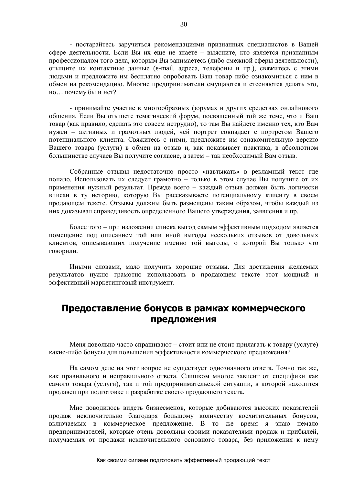- постарайтесь заручиться рекомендациями признанных специалистов в Вашей сфере деятельности. Если Вы их еще не знаете – выясните, кто является признанным профессионалом того дела, которым Вы занимаетесь (либо смежной сферы деятельности), отыщите их контактные данные (e-mail, адреса, телефоны и пр.), свяжитесь с этими людьми и предложите им бесплатно опробовать Ваш товар либо ознакомиться с ним в обмен на рекомендацию. Многие предприниматели смущаются и стесняются делать это, но... почему бы и нет?

- принимайте участие в многообразных форумах и других средствах онлайнового общения. Если Вы отыщете тематический форум, посвященный той же теме, что и Ваш товар (как правило, сделать это совсем нетрудно), то там Вы найдете именно тех, кто Вам нужен – активных и грамотных людей, чей портрет совпадает с портретом Вашего потенциального клиента. Свяжитесь с ними, предложите им ознакомительную версию Вашего товара (услуги) в обмен на отзыв и, как показывает практика, в абсолютном большинстве случаев Вы получите согласие, а затем – так необходимый Вам отзыв.

Собранные отзывы недостаточно просто «навтыкать» в рекламный текст где попало. Использовать их следует грамотно – только в этом случае Вы получите от их применения нужный результат. Прежде всего – каждый отзыв должен быть логически вписан в ту историю, которую Вы рассказываете потенциальному клиенту в своем продающем тексте. Отзывы должны быть размещены таким образом, чтобы каждый из них доказывал справедливость определенного Вашего утверждения, заявления и пр.

Более того – при изложении списка выгод самым эффективным подходом является помещение под описанием той или иной выгоды нескольких отзывов от довольных клиентов, описывающих получение именно той выгоды, о которой Вы только что говорили.

Иными словами, мало получить хорошие отзывы. Для достижения желаемых результатов нужно грамотно использовать в продающем тексте этот мощный и эффективный маркетинговый инструмент.

# Предоставление бонусов в рамках коммерческого предложения

Меня довольно часто спрашивают – стоит или не стоит прилагать к товару (услуге) какие-либо бонусы для повышения эффективности коммерческого предложения?

На самом деле на этот вопрос не существует однозначного ответа. Точно так же, как правильного и неправильного ответа. Слишком многое зависит от специфики как самого товара (услуги), так и той предпринимательской ситуации, в которой находится продавец при подготовке и разработке своего продающего текста.

Мне доводилось видеть бизнесменов, которые добиваются высоких показателей продаж исключительно благодаря большому количеству восхитительных бонусов, включаемых в коммерческое предложение. В то же время я знаю немало предпринимателей, которые очень довольны своими показателями продаж и прибылей, получаемых от продажи исключительного основного товара, без приложения к нему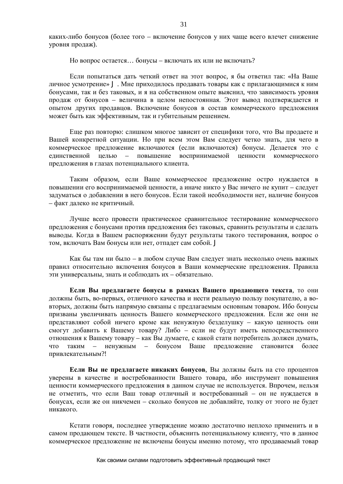каких-либо бонусов (более того – включение бонусов у них чаще всего влечет снижение уровня продаж).

Но вопрос остается... бонусы – включать их или не включать?

Если попытаться дать четкий ответ на этот вопрос, я бы ответил так: «На Ваше личное усмотрение» Ј. Мне приходилось продавать товары как с прилагающимися к ним бонусами, так и без таковых, и я на собственном опыте выяснил, что зависимость уровня продаж от бонусов – величина в целом непостоянная. Этот вывод подтверждается и опытом других продавцов. Включение бонусов в состав коммерческого предложения может быть как эффективным, так и губительным решением.

Еще раз повторю: слишком многое зависит от специфики того, что Вы продаете и Вашей конкретной ситуации. Но при всем этом Вам следует четко знать, для чего в коммерческое предложение включаются (если включаются) бонусы. Делается это с единственной целью – повышение воспринимаемой ценности коммерческого предложения в глазах потенциального клиента.

Таким образом, если Ваше коммерческое предложение остро нуждается в повышении его воспринимаемой ценности, а иначе никто у Вас ничего не купит – следует задуматься о добавлении в него бонусов. Если такой необходимости нет, наличие бонусов – факт далеко не критичный.

Лучше всего провести практическое сравнительное тестирование коммерческого предложения с бонусами против предложения без таковых, сравнить результаты и сделать выводы. Когда в Вашем распоряжении будут результаты такого тестирования, вопрос о том, включать Вам бонусы или нет, отпадет сам собой. Ј

Как бы там ни было – в любом случае Вам следует знать несколько очень важных правил относительно включения бонусов в Ваши коммерческие предложения. Правила эти универсальны, знать и соблюдать их – обязательно.

**Если Вы предлагаете бонусы в рамках Вашего продающего текста**, то они должны быть, во-первых, отличного качества и нести реальную пользу покупателю, а вовторых, должны быть напрямую связаны с предлагаемым основным товаром. Ибо бонусы призваны увеличивать ценность Вашего коммерческого предложения. Если же они не представляют собой ничего кроме как ненужную безделушку – какую ценность они смогут добавить к Вашему товару? Либо – если не будут иметь непосредственного отношения к Вашему товару – как Вы думаете, с какой стати потребитель должен думать, что таким – ненужным – бонусом Ваше предложение становится более привлекательным?!

Если Вы не предлагаете никаких бонусов, Вы должны быть на сто процентов уверены в качестве и востребованности Вашего товара, ибо инструмент повышения ценности коммерческого предложения в данном случае не используется. Впрочем, нельзя не отметить, что если Ваш товар отличный и востребованный – он не нуждается в бонусах, если же он никчемен – сколько бонусов не добавляйте, толку от этого не будет никакого.

Кстати говоря, последнее утверждение можно достаточно неплохо применить и в самом продающем тексте. В частности, объяснить потенциальному клиенту, что в данное коммерческое предложение не включены бонусы именно потому, что продаваемый товар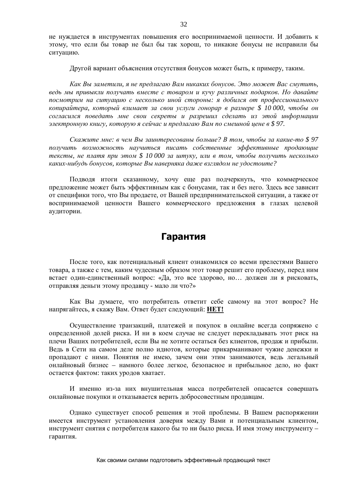не нуждается в инструментах повышения его воспринимаемой ценности. И добавить к этому, что если бы товар не был бы так хорош, то никакие бонусы не исправили бы ситуацию.

Другой вариант объяснения отсутствия бонусов может быть, к примеру, таким.

*Ʉɚɤȼɵɡɚɦɟɬɢɥɢ, ɹɧɟɩɪɟɞɥɚɝɚɸȼɚɦɧɢɤɚɤɢɯɛɨɧɭɫɨɜ. ɗɬɨɦɨɠɟɬȼɚɫɫɦɭɬɢɬɶ,*  $B$ едь мы привыкли получать вместе с товаром и кучу различных подарков. Но давайте посмотрим на ситуацию с несколько иной стороны: я добился от профессионального копирайтера, который взимает за свои услуги гонорар в размере \$ 10 000, чтобы он согласился поведать мне свои секреты и разрешил сделать из этой информации *ɷɥɟɤɬɪɨɧɧɭɸɤɧɢɝɭ, ɤɨɬɨɪɭɸɹɫɟɣɱɚɫɢɩɪɟɞɥɚɝɚɸȼɚɦɩɨɫɦɟɲɧɨɣɰɟɧɟɜ \$ 97.*

*ɋɤɚɠɢɬɟɦɧɟ: ɜɱɟɦȼɵɡɚɢɧɬɟɪɟɫɨɜɚɧɵɛɨɥɶɲɟ? ȼɬɨɦ, ɱɬɨɛɵɡɚɤɚɤɢɟɬɨ \$ 97* получить возможность научиться писать собственные эффективные продающие  $m$ ексты, не платя при этом \$ 10 000 за штуку, или в том, чтобы получить несколько *ɤɚɤɢɯɧɢɛɭɞɶɛɨɧɭɫɨɜ, ɤɨɬɨɪɵɟȼɵɧɚɜɟɪɧɹɤɚɞɚɠɟɜɡɝɥɹɞɨɦɧɟɭɞɨɫɬɨɢɬɟ?*

Подводя итоги сказанному, хочу еще раз подчеркнуть, что коммерческое предложение может быть эффективным как с бонусами, так и без него. Здесь все зависит от специфики того, что Вы продаете, от Вашей предпринимательской ситуации, а также от воспринимаемой ценности Вашего коммерческого предложения в глазах целевой аудитории.

### **Гарантия**

После того, как потенциальный клиент ознакомился со всеми прелестями Вашего товара, а также с тем, каким чудесным образом этот товар решит его проблему, перед ним встает один-единственный вопрос: «Да, это все здорово, но... должен ли я рисковать, отправляя деньги этому продавцу - мало ли что?»

Как Вы думаете, что потребитель ответит себе самому на этот вопрос? Не напрягайтесь, я скажу Вам. Ответ будет следующий: НЕТ!

Осуществление транзакций, платежей и покупок в онлайне всегда сопряжено с определенной долей риска. И ни в коем случае не следует перекладывать этот риск на плечи Ваших потребителей, если Вы не хотите остаться без клиентов, продаж и прибыли. Вель в Сети на самом леле полно илиотов, которые прикарманивают чужие ленежки и пропадают с ними. Понятия не имею, зачем они этим занимаются, ведь легальный онлайновый бизнес – намного более легкое, безопасное и прибыльное дело, но факт остается фактом: таких уродов хватает.

И именно из-за них внушительная масса потребителей опасается совершать онлайновые покупки и отказывается верить добросовестным продавцам.

Олнако существует способ решения и этой проблемы. В Вашем распоряжении имеется инструмент установления доверия между Вами и потенциальным клиентом, инструмент снятия с потребителя какого бы то ни было риска. И имя этому инструменту – гарантия.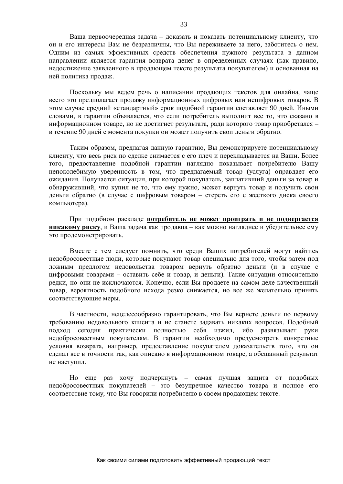Ваша первоочередная задача – доказать и показать потенциальному клиенту, что он и его интересы Вам не безразличны, что Вы переживаете за него, заботитесь о нем. Одним из самых эффективных средств обеспечения нужного результата в данном направлении является гарантия возврата денег в определенных случаях (как правило, недостижение заявленного в продающем тексте результата покупателем) и основанная на ней политика продаж.

Поскольку мы ведем речь о написании продающих текстов для онлайна, чаще всего это предполагает продажу информационных цифровых или нецифровых товаров. В этом случае средний «стандартный» срок подобной гарантии составляет 90 дней. Иными словами, в гарантии объявляется, что если потребитель выполнит все то, что сказано в информационном товаре, но не достигнет результата, ради которого товар приобретался – в течение 90 дней с момента покупки он может получить свои деньги обратно.

Таким образом, предлагая данную гарантию, Вы демонстрируете потенциальному клиенту, что весь риск по сделке снимается с его плеч и перекладывается на Ваши. Более того, предоставление подобной гарантии наглядно показывает потребителю Вашу непоколебимую уверенность в том, что предлагаемый товар (услуга) оправдает его ожидания. Получается ситуация, при которой покупатель, заплативший деньги за товар и обнаруживший, что купил не то, что ему нужно, может вернуть товар и получить свои деньги обратно (в случае с цифровым товаром – стереть его с жесткого диска своего компьютера).

При подобном раскладе потребитель не может проиграть и не подвергается никакому риску, и Ваша задача как продавца – как можно нагляднее и убедительнее ему это продемонстрировать.

Вместе с тем следует помнить, что среди Ваших потребителей могут найтись недобросовестные люди, которые покупают товар специально для того, чтобы затем под ложным предлогом недовольства товаром вернуть обратно деньги (и в случае с цифровыми товарами – оставить себе и товар, и деньги). Такие ситуации относительно редки, но они не исключаются. Конечно, если Вы продаете на самом деле качественный товар, вероятность подобного исхода резко снижается, но все же желательно принять соответствующие меры.

В частности, нецелесообразно гарантировать, что Вы вернете деньги по первому требованию недовольного клиента и не станете задавать никаких вопросов. Подобный подход сегодня практически полностью себя изжил, ибо развязывает руки недобросовестным покупателям. В гарантии необходимо предусмотреть конкретные условия возврата, например, предоставление покупателем доказательств того, что он сделал все в точности так, как описано в информационном товаре, а обещанный результат не наступил.

Но еще раз хочу подчеркнуть – самая лучшая защита от подобных недобросовестных покупателей – это безупречное качество товара и полное его соответствие тому, что Вы говорили потребителю в своем продающем тексте.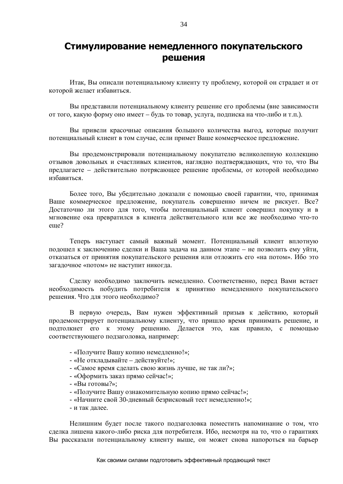## **ǹȚȐȔțȓȐȘȖȊȈȕȐȍȕȍȔȍȌȓȍȕȕȖȋȖȗȖȒțȗȈȚȍȓȤșȒȖȋȖ решения**

Итак, Вы описали потенциальному клиенту ту проблему, которой он страдает и от которой желает избавиться.

Вы представили потенциальному клиенту решение его проблемы (вне зависимости от того, какую форму оно имеет – будь то товар, услуга, подписка на что-либо и т.п.).

Вы привели красочные описания большого количества выгол, которые получит потенциальный клиент в том случае, если примет Ваше коммерческое предложение.

Вы продемонстрировали потенциальному покупателю великолепную коллекцию отзывов довольных и счастливых клиентов, наглядно подтверждающих, что то, что Вы предлагаете – действительно потрясающее решение проблемы, от которой необходимо избавиться.

Более того, Вы убедительно доказали с помощью своей гарантии, что, принимая Ваше коммерческое предложение, покупатель совершенно ничем не рискует. Все? Достаточно ли этого для того, чтобы потенциальный клиент совершил покупку и в мгновение ока превратился в клиента действительного или все же необходимо что-то eme?

Теперь наступает самый важный момент. Потенциальный клиент вплотную полошел к заключению слелки и Ваша залача на ланном этапе – не позволить ему уйти. отказаться от принятия покупательского решения или отложить его «на потом». Ибо это загадочное «потом» не наступит никогда.

Сделку необходимо заключить немедленно. Соответственно, перед Вами встает необходимость побудить потребителя к принятию немедленного покупательского решения. Что для этого необходимо?

В первую очередь, Вам нужен эффективный призыв к действию, который продемонстрирует потенциальному клиенту, что пришло время принимать решение, и подтолкнет его к этому решению. Делается это, как правило, с помощью соответствующего подзаголовка, например:

- «Получите Вашу копию немедленно!»;
- «Не откладывайте действуйте!»;
- «Самое время сделать свою жизнь лучше, не так ли?»;
- «Оформить заказ прямо сейчас!»;
- «Вы готовы?»;
- «Получите Вашу ознакомительную копию прямо сейчас!»;
- «Начните свой 30-дневный безрисковый тест немедленно!»;
- и так лалее.

Нелишним будет после такого подзаголовка поместить напоминание о том, что сделка лишена какого-либо риска для потребителя. Ибо, несмотря на то, что о гарантиях Вы рассказали потенциальному клиенту выше, он может снова напороться на барьер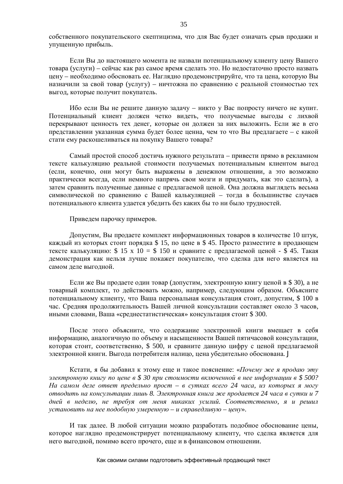собственного покупательского скептицизма, что для Вас будет означать срыв продажи и упущенную прибыль.

Если Вы до настоящего момента не назвали потенциальному клиенту цену Вашего товара (услуги) – сейчас как раз самое время сделать это. Но недостаточно просто назвать цену – необходимо обосновать ее. Наглядно продемонстрируйте, что та цена, которую Вы назначили за свой товар (услугу) – ничтожна по сравнению с реальной стоимостью тех выгод, которые получит покупатель.

Ибо если Вы не решите данную задачу – никто у Вас попросту ничего не купит. Потенциальный клиент должен четко видеть, что получаемые выгоды с лихвой перекрывают ценность тех денег, которые он должен за них выложить. Если же в его представлении указанная сумма будет более ценна, чем то что Вы предлагаете – с какой стати ему раскошеливаться на покупку Вашего товара?

Самый простой способ достичь нужного результата – привести прямо в рекламном тексте калькуляцию реальной стоимости получаемых потенциальным клиентом выгод (если, конечно, они могут быть выражены в денежном отношении, а это возможно практически всегда, если немного напрячь свои мозги и придумать, как это сделать), а затем сравнить полученные данные с предлагаемой ценой. Она должна выглядеть весьма символической по сравнению с Вашей калькуляцией - тогда в большинстве случаев потенциального клиента удается убедить без каких бы то ни было трудностей.

Приведем парочку примеров.

Допустим, Вы продаете комплект информационных товаров в количестве 10 штук, каждый из которых стоит порядка \$ 15, по цене в \$ 45. Просто разместите в продающем тексте калькуляцию: \$ 15 х 10 = \$ 150 и сравните с предлагаемой ценой - \$ 45. Такая демонстрация как нельзя лучше покажет покупателю, что сделка для него является на самом деле выгодной.

Если же Вы продаете один товар (допустим, электронную книгу ценой в \$30), а не товарный комплект, то действовать можно, например, следующим образом. Объясните потенциальному клиенту, что Ваша персональная консультация стоит, допустим, \$ 100 в час. Средняя продолжительность Вашей личной консультации составляет около 3 часов, иными словами, Ваша «среднестатистическая» консультация стоит \$ 300.

После этого объясните, что содержание электронной книги вмещает в себя информацию, аналогичную по объему и насышенности Вашей пятичасовой консультации, которая стоит, соответственно, \$ 500, и сравните данную цифру с ценой предлагаемой электронной книги. Выгода потребителя налицо, цена убедительно обоснована. Ј

Кстати, я бы добавил к этому еще и такое пояснение: «*Почему же я продаю эту* электронную книгу по цене в \$30 при стоимости включенной в нее информации в \$500? *На самом деле ответ предельно прост – в сутках всего 24 часа, из которых я могу*  $\theta$  $\theta$   $\theta$   $\theta$   $\theta$   $\theta$   $\theta$  *8.*  $\theta$   $\theta$   $\theta$  *8.*  $\theta$   $\theta$  *8.*  $\theta$   $\theta$  *8.*  $\theta$  *8.*  $\theta$  *8.*  $\theta$  *8.*  $\theta$  *8.*  $\theta$  *8.*  $\theta$  *8.*  $\theta$  *8.*  $\theta$  *8.*  $\theta$  *8.*  $\theta$  *8.*  $\theta$  *8.* дней в неделю, не требуя от меня никаких усилий. Соответственно, я и решил *y* $\alpha$ *нановить на нее подобную умеренную – и справедливую – цену».* 

И так далее. В любой ситуации можно разработать подобное обоснование цены, которое наглядно продемонстрирует потенциальному клиенту, что сделка является для него выгодной, помимо всего прочего, еще и в финансовом отношении.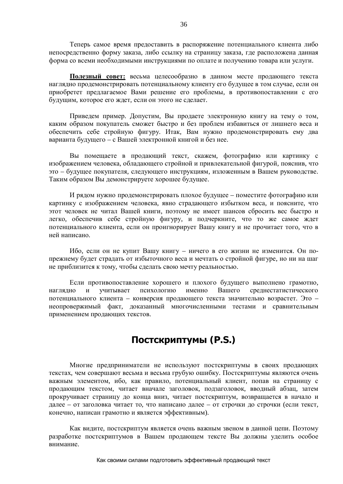Теперь самое время предоставить в распоряжение потенциального клиента либо непосредственно форму заказа, либо ссылку на страницу заказа, где расположена данная форма со всеми необходимыми инструкциями по оплате и получению товара или услуги.

Полезный совет: весьма целесообразно в данном месте продающего текста наглядно продемонстрировать потенциальному клиенту его будущее в том случае, если он приобретет предлагаемое Вами решение его проблемы, в противопоставлении с его будущим, которое его ждет, если он этого не сделает.

Приведем пример. Допустим, Вы продаете электронную книгу на тему о том, каким образом покупатель сможет быстро и без проблем избавиться от лишнего веса и обеспечить себе стройную фигуру. Итак, Вам нужно продемонстрировать ему два варианта будущего – с Вашей электронной книгой и без нее.

Вы помещаете в продающий текст, скажем, фотографию или картинку с изображением человека, обладающего стройной и привлекательной фигурой, пояснив, что это – будущее покупателя, следующего инструкциям, изложенным в Вашем руководстве. Таким образом Вы демонстрируете хорошее будущее.

И рядом нужно продемонстрировать плохое будущее – поместите фотографию или картинку с изображением человека, явно страдающего избытком веса, и поясните, что этот человек не читал Вашей книги, поэтому не имеет шансов сбросить вес быстро и легко, обеспечив себе стройную фигуру, и подчеркните, что то же самое ждет потенциального клиента, если он проигнорирует Вашу книгу и не прочитает того, что в ней написано.

Ибо, если он не купит Вашу книгу – ничего в его жизни не изменится. Он попрежнему будет страдать от избыточного веса и мечтать о стройной фигуре, но ни на шаг не приблизится к тому, чтобы сделать свою мечту реальностью.

Если противопоставление хорошего и плохого будущего выполнено грамотно, наглядно и учитывает психологию именно Вашего среднестатистического потенциального клиента – конверсия продающего текста значительно возрастет. Это – неопровержимый факт, доказанный многочисленными тестами и сравнительным применением продающих текстов.

# Постскриптумы (P.S.)

Многие предприниматели не используют постскриптумы в своих продающих текстах, чем совершают весьма и весьма грубую ошибку. Постскриптумы являются очень важным элементом, ибо, как правило, потенциальный клиент, попав на страницу с продающим текстом, читает вначале заголовок, подзаголовок, вводный абзац, затем прокручивает страницу до конца вниз, читает постскриптум, возвращается в начало и далее – от заголовка читает то, что написано далее – от строчки до строчки (если текст, конечно, написан грамотно и является эффективным).

Как видите, постскриптум является очень важным звеном в данной цепи. Поэтому разработке постскриптумов в Вашем продающем тексте Вы должны уделить особое внимание.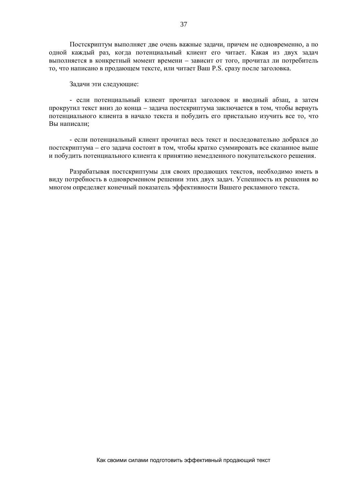Постскриптум выполняет две очень важные задачи, причем не одновременно, а по одной каждый раз, когда потенциальный клиент его читает. Какая из двух задач выполняется в конкретный момент времени – зависит от того, прочитал ли потребитель то, что написано в продающем тексте, или читает Ваш Р.S. сразу после заголовка.

Задачи эти следующие:

- если потенциальный клиент прочитал заголовок и вводный абзац, а затем прокругил текст вниз до конца – задача постскриптума заключается в том, чтобы вернуть потенциального клиента в начало текста и побудить его пристально изучить все то, что Вы написали:

- если потенциальный клиент прочитал весь текст и последовательно добрался до постскриптума – его задача состоит в том, чтобы кратко суммировать все сказанное выше и побудить потенциального клиента к принятию немедленного покупательского решения.

Разрабатывая постскриптумы для своих продающих текстов, необходимо иметь в виду потребность в одновременном решении этих двух задач. Успешность их решения во многом определяет конечный показатель эффективности Вашего рекламного текста.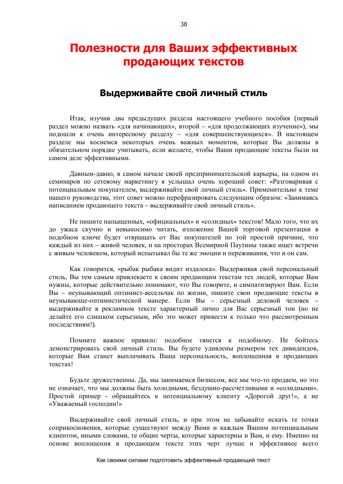# Полезности для Ваших эффективных продающих текстов

### Выдерживайте свой личный стиль

Итак, изучив два предыдущих раздела настоящего учебного пособия (первый раздел можно назвать «для начинающих», второй – «для продолжающих изучение»), мы подошли к очень интересному разделу – «для совершенствующихся». В настоящем разделе мы коснемся некоторых очень важных моментов, которые Вы должны в обязательном порядке учитывать, если желаете, чтобы Ваши продающие тексты были на самом деле эффективными.

Давным-лавно, в самом начале своей прелпринимательской карьеры, на одном из семинаров по сетевому маркетингу я услышал очень хороший совет: «Разговаривая с потенциальным покупателем, выдерживайте свой личный стиль». Применительно к теме нашего руководства, этот совет можно перефразировать следующим образом: «Занимаясь написанием продающего текста - выдерживайте свой личный стиль».

Не пишите напыщенных, «официальных» и «солидных» текстов! Мало того, что их до ужаса скучно и невыносимо читать, изложение Вашей торговой презентации в подобном ключе будет отвращать от Вас покупателей по той простой причине, что каждый из них – живой человек, и на просторах Всемирной Паутины также ищет встречи с живым человеком, который испытывал бы те же эмоции и переживания, что и он сам.

Как говорится, «рыбак рыбака вилит излалека». Вылерживая свой персональный стиль, Вы тем самым привлекаете к своим продающим текстам тех людей, которые Вам нужны, которые действительно понимают, что Вы говорите, и симпатизируют Вам. Если Вы – неунывающий оптимист-весельчак по жизни, пишите свои продающие тексты в неунывающе-оптимистической манере. Если Вы - серьезный деловой человек выдерживайте в рекламном тексте характерный лично для Вас серьезный тон (но не делайте его слишком серьезным, ибо это может привести к только что рассмотренным послелствиям!).

Помните важное правило: подобное тянется к подобному. Не бойтесь демонстрировать свой личный стиль. Вы будете удивлены размером тех дивидендов, которые Вам станет выплачивать Ваша персональность, воплощенная в продающих текстах!

Будьте дружественны. Да, мы занимаемся бизнесом, все мы что-то продаем, но это не означает, что мы должны быть холодными, бездушно-рассчетливыми и «солидными». Простой пример - обращайтесь к потенциальному клиенту «Дорогой друг!», а не «Уважаемый господин!»

Выдерживайте свой личный стиль, и при этом не забывайте искать те точки соприкосновения, которые существуют между Вами и каждым Вашим потенциальным клиентом, иными словами, те общие черты, которые характерны и Вам, и ему. Именно на основе воплощения в продающем тексте этих черт лучше и эффективнее всего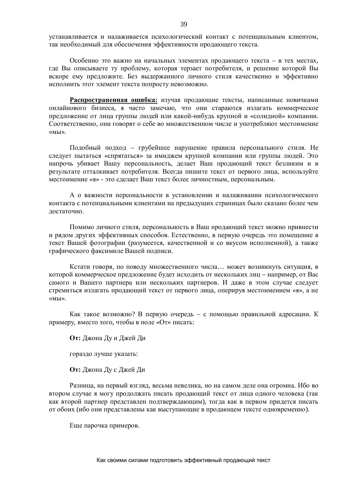устанавливается и налаживается психологический контакт с потенциальным клиентом, так необходимый для обеспечения эффективности продающего текста.

Особенно это важно на начальных элементах пролающего текста – в тех местах. где Вы описываете ту проблему, которая терзает потребителя, и решение которой Вы вскоре ему предложите. Без выдержанного личного стиля качественно и эффективно исполнить этот элемент текста попросту невозможно.

Распространенная ошибка: изучая продающие тексты, написанные новичками онлайнового бизнеса, я часто замечаю, что они стараются излагать коммерческое предложение от лица группы людей или какой-нибудь крупной и «солидной» компании. Соответственно, они говорят о себе во множественном числе и употребляют местоимение ©ɦɵ».

Подобный подход – грубейшее нарушение правила персонального стиля. Не следует пытаться «спрятаться» за имиджем крупной компании или группы людей. Это напрочь убивает Вашу персональность, делает Ваш продающий текст безликим и в результате отталкивает потребителя. Всегда пишите текст от первого лица, используйте местоимение «я» - это слелает Ваш текст более личностным, персональным.

А о важности персональности в установлении и налаживании психологического контакта с потенциальными клиентами на предыдущих страницах было сказано более чем лостаточно.

Помимо личного стиля, персональность в Ваш продающий текст можно привнести и рядом других эффективных способов. Естественно, в первую очередь это помещение в текст Вашей фотографии (разумеется, качественной и со вкусом исполненной), а также графического факсимиле Вашей подписи.

Кстати говоря, по поводу множественного числа... может возникнуть ситуация, в которой коммерческое предложение будет исходить от нескольких лиц – например, от Вас самого и Вашего партнера или нескольких партнеров. И даже в этом случае следует стремиться излагать продающий текст от первого лица, оперируя местоимением «я», а не ©ɦɵ».

Как такое возможно? В первую очередь – с помощью правильной адресации. К примеру, вместо того, чтобы в поле «От» писать:

**От:** Лжона Луи Лжей Ли

гораздо лучше указать:

**От:** Джона Ду с Джей Ди

Разница, на первый взгляд, весьма невелика, но на самом деле она огромна. Ибо во втором случае я могу продолжать писать продающий текст от лица одного человека (так как второй партнер представлен подтверждающим), тогда как в первом придется писать от обоих (ибо они представлены как выступающие в продающем тексте одновременно).

Еще парочка примеров.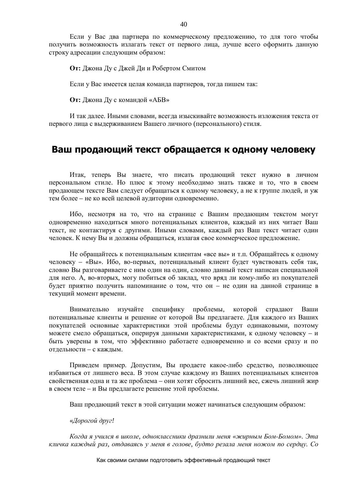Если у Вас два партнера по коммерческому предложению, то для того чтобы получить возможность излагать текст от первого лица, лучше всего оформить данную строку адресации следующим образом:

**От:** Джона Ду с Джей Ди и Робертом Смитом

Если у Вас имеется целая команда партнеров, тогда пишем так:

**От:** Джона Ду с командой «АБВ»

И так далее. Иными словами, всегда изыскивайте возможность изложения текста от первого лица с выдерживанием Вашего личного (персонального) стиля.

# Ваш продающий текст обращается к одному человеку

Итак, теперь Вы знаете, что писать продающий текст нужно в личном персональном стиле. Но плюс к этому необходимо знать также и то, что в своем продающем тексте Вам следует обращаться к одному человеку, а не к группе людей, и уж тем более – не ко всей целевой аудитории одновременно.

Ибо, несмотря на то, что на странице с Вашим продающим текстом могут одновременно находиться много потенциальных клиентов, каждый из них читает Ваш текст, не контактируя с другими. Иными словами, каждый раз Ваш текст читает один человек. К нему Вы и должны обращаться, излагая свое коммерческое предложение.

Не обращайтесь к потенциальным клиентам «все вы» и т.п. Обращайтесь к одному человеку – «Вы». Ибо, во-первых, потенциальный клиент будет чувствовать себя так, словно Вы разговариваете с ним один на один, словно данный текст написан специальной для него. А, во-вторых, могу побиться об заклад, что вряд ли кому-либо из покупателей будет приятно получить напоминание о том, что он - не один на данной странице в текущий момент времени.

Внимательно изучайте специфику проблемы, которой страдают Ваши потенциальные клиенты и решение от которой Вы предлагаете. Для каждого из Ваших покупателей основные характеристики этой проблемы будут одинаковыми, поэтому можете смело обращаться, оперируя данными характеристиками, к одному человеку – и быть уверены в том, что эффективно работаете одновременно и со всеми сразу и по отдельности – с каждым.

Приведем пример. Допустим, Вы продаете какое-либо средство, позволяющее избавиться от лишнего веса. В этом случае каждому из Ваших потенциальных клиентов свойственная одна и та же проблема – они хотят сбросить лишний вес, сжечь лишний жир в своем теле – и Вы предлагаете решение этой проблемы.

Ваш продающий текст в этой ситуации может начинаться следующим образом:

#### «Дорогой друг!

 $Kozda$  я учился в школе, одноклассники дразнили меня «жирным Бом-Бомом». Эта кличка каждый раз, отдаваясь у меня в голове, будто резала меня ножом по сердцу. Со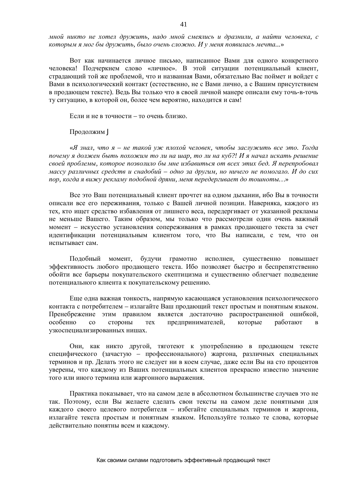$MHO\tilde{u}$  никто не хотел дружить, надо мной смеялись и дразнили, а найти человека, с  $x_0$ *которым я мог бы дружить, было очень сложно. И у меня появилась мечта...* 

Вот как начинается личное письмо, написанное Вами для одного конкретного человека! Подчеркнем слово «личное». В этой ситуации потенциальный клиент, страдающий той же проблемой, что и названная Вами, обязательно Вас поймет и войдет с Вами в психологический контакт (естественно, не с Вами лично, а с Вашим присутствием в продающем тексте). Ведь Вы только что в своей личной манере описали ему точь-в-точь ту ситуацию, в которой он, более чем вероятно, находится и сам!

Если и не в точности – то очень близко.

Продолжим J

«Я знал, что я – не такой уж плохой человек, чтобы заслужить все это. Тогда почему я должен быть похожим то ли на шар, то ли на куб?! И я начал искать решение своей проблемы, которое позволило бы мне избавиться от всех этих бед. Я перепробовал  $M$ ассу различных средств и снадобий – одно за другим, но ничего не помогало. И до сих лор, когда я вижу рекламу подобной дряни, меня передергивает до тошноты...»

Все это Ваш потенциальный клиент прочтет на одном дыхании, ибо Вы в точности описали все его переживания, только с Вашей личной позиции. Наверняка, каждого из тех, кто ищет средство избавления от лишнего веса, передергивает от указанной рекламы не меньше Вашего. Таким образом, мы только что рассмотрели один очень важный момент – искусство установления сопереживания в рамках продающего текста за счет идентификации потенциальным клиентом того, что Вы написали, с тем, что он испытывает сам.

Подобный момент, будучи грамотно исполнен, существенно повышает эффективность любого продающего текста. Ибо позволяет быстро и беспрепятственно обойти все барьеры покупательского скептицизма и существенно облегчает подведение потенциального клиента к покупательскому решению.

Еще одна важная тонкость, напрямую касающаяся установления психологического контакта с потребителем – излагайте Ваш продающий текст простым и понятным языком. Пренебрежение этим правилом является достаточно распространенной ошибкой, особенно со стороны тех предпринимателей, которые работают в узкоспециализированных нишах.

Они, как никто другой, тяготеют к употреблению в продающем тексте специфического (зачастую – профессионального) жаргона, различных специальных терминов и пр. Делать этого не следует ни в коем случае, даже если Вы на сто процентов уверены, что каждому из Ваших потенциальных клиентов прекрасно известно значение того или иного термина или жаргонного выражения.

Практика показывает, что на самом деле в абсолютном большинстве случаев это не так. Поэтому, если Вы желаете сделать свои тексты на самом деле понятными для каждого своего целевого потребителя - избегайте специальных терминов и жаргона, излагайте текста простым и понятным языком. Используйте только те слова, которые действительно понятны всем и каждому.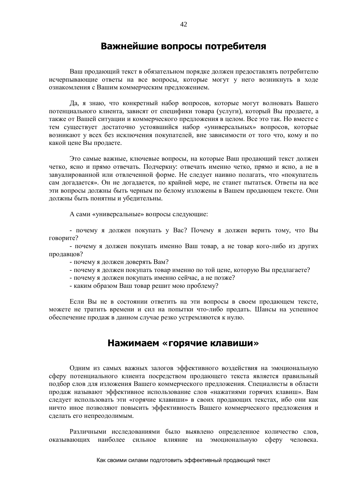### Важнейшие вопросы потребителя

Ваш продающий текст в обязательном порядке должен предоставлять потребителю исчерпывающие ответы на все вопросы, которые могут у него возникнуть в ходе ознакомления с Вашим коммерческим предложением.

Да, я знаю, что конкретный набор вопросов, которые могут волновать Вашего потенциального клиента, зависят от специфики товара (услуги), который Вы продаете, а также от Вашей ситуации и коммерческого предложения в целом. Все это так. Но вместе с тем существует достаточно устоявшийся набор «универсальных» вопросов, которые возникают у всех без исключения покупателей, вне зависимости от того что, кому и по какой цене Вы продаете.

Это самые важные, ключевые вопросы, на которые Ваш продающий текст должен четко, ясно и прямо отвечать. Подчеркну: отвечать именно четко, прямо и ясно, а не в завуалированной или отвлеченной форме. Не следует наивно полагать, что «покупатель сам догадается». Он не догадается, по крайней мере, не станет пытаться. Ответы на все эти вопросы должны быть черным по белому изложены в Вашем продающем тексте. Они должны быть понятны и убелительны.

А сами «универсальные» вопросы следующие:

- почему я должен покупать у Вас? Почему я должен верить тому, что Вы говорите?

- почему я должен покупать именно Ваш товар, а не товар кого-либо из других продавцов?

- почему я должен доверять Вам?

- почему я должен покупать товар именно по той цене, которую Вы предлагаете?
- почему я должен покупать именно сейчас, а не позже?
- каким образом Ваш товар решит мою проблему?

Если Вы не в состоянии ответить на эти вопросы в своем продающем тексте, можете не тратить времени и сил на попытки что-либо продать. Шансы на успешное обеспечение продаж в данном случае резко устремляются к нулю.

### Нажимаем «горячие клавиши»

Одним из самых важных залогов эффективного воздействия на эмоциональную сферу потенциального клиента посредством продающего текста является правильный подбор слов для изложения Вашего коммерческого предложения. Специалисты в области продаж называют эффективное использование слов «нажатиями горячих клавиш». Вам следует использовать эти «горячие клавиши» в своих продающих текстах, ибо они как ничто иное позволяют повысить эффективность Вашего коммерческого предложения и сделать его непреодолимым.

Различными исследованиями было выявлено определенное количество слов, оказывающих наиболее сильное влияние на эмоциональную сферу человека.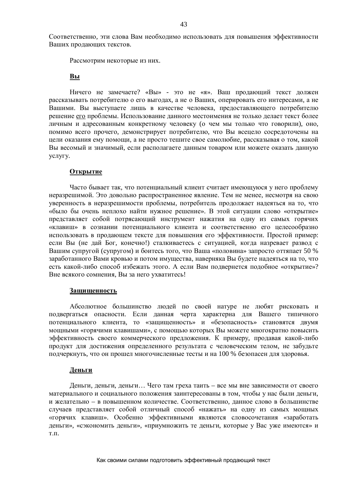Соответственно, эти слова Вам необходимо использовать для повышения эффективности Ваших продающих текстов.

Рассмотрим некоторые из них.

#### **Вы**

Ничего не замечаете? «Вы» - это не «я». Ваш продающий текст должен рассказывать потребителю о его выгодах, а не о Ваших, оперировать его интересами, а не Вашими. Вы выступаете лишь в качестве человека, предоставляющего потребителю решение его проблемы. Использование данного местоимения не только делает текст более личным и адресованным конкретному человеку (о чем мы только что говорили), оно, помимо всего прочего, демонстрирует потребителю, что Вы всецело сосредоточены на цели оказания ему помощи, а не просто тешите свое самолюбие, рассказывая о том, какой Вы весомый и значимый, если располагаете данным товаром или можете оказать данную үслүгү.

#### **Открытие**

Часто бывает так, что потенциальный клиент считает имеющуюся у него проблему неразрешимой. Это довольно распространенное явление. Тем не менее, несмотря на свою уверенность в неразрешимости проблемы, потребитель продолжает надеяться на то, что «было бы очень неплохо найти нужное решение». В этой ситуации слово «открытие» представляет собой потрясающий инструмент нажатия на одну из самых горячих «клавиш» в сознании потенциального клиента и соответственно его целесообразно использовать в продающем тексте для повышения его эффективности. Простой пример: если Вы (не дай Бог, конечно!) сталкиваетесь с ситуацией, когда назревает развод с Вашим супругой (супругом) и боитесь того, что Ваша «половина» запросто оттяпает 50 % заработанного Вами кровью и потом имущества, наверняка Вы будете надеяться на то, что есть какой-либо способ избежать этого. А если Вам подвернется подобное «открытие»? Вне всякого сомнения, Вы за него ухватитесь!

#### Защищенность

Абсолютное большинство людей по своей натуре не любят рисковать и полвергаться опасности. Если ланная черта характерна лля Вашего типичного потенциального клиента, то «защищенность» и «безопасность» становятся двумя мощными «горячими клавишами», с помощью которых Вы можете многократно повысить эффективность своего коммерческого предложения. К примеру, продавая какой-либо продукт для достижения определенного результата с человеческим телом, не забудьте подчеркнуть, что он прошел многочисленные тесты и на 100 % безопасен для здоровья.

#### **Ⱦɟɧɶɝɢ**

Деньги, деньги, деньги... Чего там греха таить – все мы вне зависимости от своего материального и социального положения заинтересованы в том, чтобы у нас были леньги, и желательно – в повышенном количестве. Соответственно, данное слово в большинстве случаев представляет собой отличный способ «нажать» на одну из самых мощных «горячих клавиш». Особенно эффективными являются словосочетания «заработать деньги», «сэкономить деньги», «приумножить те деньги, которые у Вас уже имеются» и T.Π.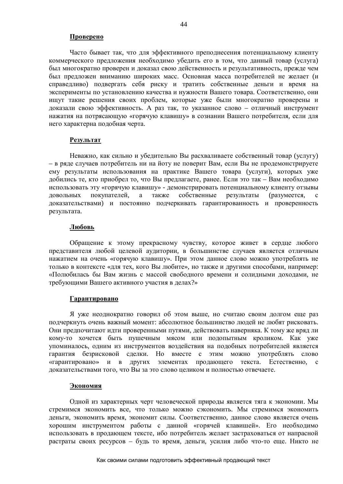#### Проверено

Часто бывает так, что для эффективного преподнесения потенциальному клиенту коммерческого предложения необходимо убедить его в том, что данный товар (услуга) был многократно проверен и доказал свою действенность и результативность, прежде чем был предложен вниманию широких масс. Основная масса потребителей не желает (и справедливо) подвергать себя риску и тратить собственные деньги и время на эксперименты по установлению качества и нужности Вашего товара. Соответственно, они ищут такие решения своих проблем, которые уже были многократно проверены и доказали свою эффективность. А раз так, то указанное слово – отличный инструмент нажатия на потрясающую «горячую клавишу» в сознании Вашего потребителя, если для него характерна подобная черта.

#### Результат

Неважно, как сильно и убедительно Вы расхваливаете собственный товар (услугу) – в ряде случаев потребитель ни на йоту не поверит Вам, если Вы не продемонстрируете ему результаты использования на практике Вашего товара (услуги), которых уже добились те, кто приобрел то, что Вы предлагаете, ранее. Если это так – Вам необходимо использовать эту «горячую клавишу» - демонстрировать потенциальному клиенту отзывы довольных покупателей, а также собственные результаты (разумеется, с доказательствами) и постоянно подчеркивать гарантированность и проверенность результата.

#### **Любовь**

Обращение к этому прекрасному чувству, которое живет в сердце любого представителя любой целевой аудитории, в большинстве случаев является отличным нажатием на очень «горячую клавишу». При этом данное слово можно употреблять не только в контексте «для тех, кого Вы любите», но также и другими способами, например: «Полюбилась бы Вам жизнь с массой свободного времени и солидными доходами, не требующими Вашего активного участия в делах?»

#### $\Gamma$ арантировано

Я уже неоднократно говорил об этом выше, но считаю своим долгом еще раз подчеркнуть очень важный момент: абсолютное большинство людей не любят рисковать. Они предпочитают идти проверенными путями, действовать наверняка. К тому же вряд ли кому-то хочется быть пушечным мясом или подопытным кроликом. Как уже упоминалось, одним из инструментов воздействия на подобных потребителей является гарантия безрисковой сделки. Но вместе с этим можно употреблять слово «гарантировано» и в других элементах продающего текста. Естественно, с доказательствами того, что Вы за это слово целиком и полностью отвечаете.

#### Экономия

Одной из характерных черт человеческой природы является тяга к экономии. Мы стремимся экономить все, что только можно сэкономить. Мы стремимся экономить деньги, экономить время, экономит силы. Соответственно, данное слово является очень хорошим инструментом работы с данной «горячей клавишей». Его необходимо использовать в продающем тексте, ибо потребитель желает застраховаться от напрасной растраты своих ресурсов – будь то время, деньги, усилия либо что-то еще. Никто не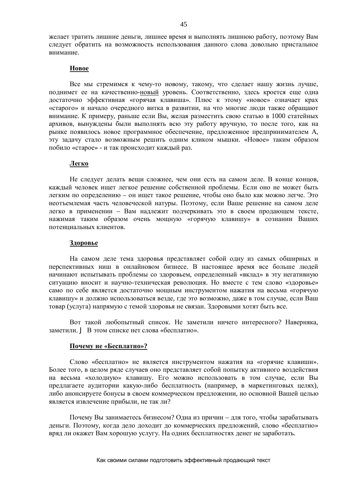желает тратить лишние деньги, лишнее время и выполнять лишнюю работу, поэтому Вам следует обратить на возможность использования данного слова довольно пристальное внимание.

#### **Новое**

Все мы стремимся к чему-то новому, такому, что сделает нашу жизнь лучше, поднимет ее на качественно-новый уровень. Соответственно, здесь кроется еще одна достаточно эффективная «горячая клавиша». Плюс к этому «новое» означает крах «старого» и начало очередного витка в развитии, на что многие люди также обращают внимание. К примеру, раньше если Вы, желая разместить свою статью в 1000 статейных архивов, вынуждены были выполнять всю эту работу вручную, то после того, как на рынке появилось новое программное обеспечение, предложенное предпринимателем А, эту задачу стало возможным решить одним кликом мышки. «Новое» таким образом побило «старое» - и так происходит каждый раз.

#### **Легко**

Не слелует делать веши сложнее, чем они есть на самом деле. В конце концов, каждый человек ищет легкое решение собственной проблемы. Если оно не может быть легким по определению – он ищет такое решение, чтобы оно было как можно легче. Это неотъемлемая часть человеческой натуры. Поэтому, если Ваше решение на самом деле легко в применении – Вам надлежит подчеркивать это в своем продающем тексте, нажимая таким образом очень мощную «горячую клавишу» в сознании Ваших потенциальных клиентов.

#### Здоровье

На самом деле тема здоровья представляет собой одну из самых обширных и перспективных ниш в онлайновом бизнесе. В настоящее время все больше людей начинают испытывать проблемы со здоровьем, определенный «вклад» в эту негативную ситуацию вносит и научно-техническая революция. Но вместе с тем слово «здоровье» само по себе является достаточно мощным инструментом нажатия на весьма «горячую клавишу» и должно использоваться везде, где это возможно, даже в том случае, если Ваш товар (услуга) напрямую с темой здоровья не связан. Здоровыми хотят быть все.

Вот такой любопытный список. Не заметили ничего интересного? Наверняка, заметили. Ј В этом списке нет слова «бесплатно».

#### Почему не «Бесплатно»?

Слово «бесплатно» не является инструментом нажатия на «горячие клавиши». Более того, в целом ряде случаев оно представляет собой попытку активного воздействия на весьма «холодную» клавишу. Его можно использовать в том случае, если Вы предлагаете аудитории какую-либо бесплатность (например, в маркетинговых целях), либо анонсируете бонусы в своем коммерческом предложении, но основной Вашей целью является извлечение прибыли, не так ли?

Почему Вы занимаетесь бизнесом? Одна из причин – для того, чтобы зарабатывать деньги. Поэтому, когда дело доходит до коммерческих предложений, слово «бесплатно» вряд ли окажет Вам хорошую услугу. На одних бесплатностях денег не заработать.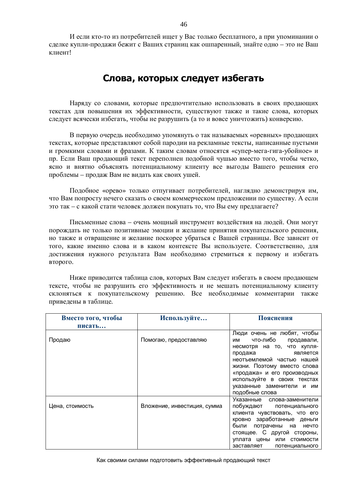И если кто-то из потребителей ищет у Вас только бесплатного, а при упоминании о сделке купли-продажи бежит с Ваших страниц как ошпаренный, знайте одно – это не Ваш к пиент!

# Слова, которых следует избегать

Наряду со словами, которые предпочтительно использовать в своих продающих текстах для повышения их эффективности, существуют также и такие слова, которых слелует всячески избегать, чтобы не разрушить (а то и вовсе уничтожить) конверсию.

В первую очередь необходимо упомянуть о так называемых «оревных» продающих текстах, которые представляют собой пародии на рекламные тексты, написанные пустыми и громкими словами и фразами. К таким словам относятся «супер-мега-гига-убойное» и пр. Если Ваш продающий текст переполнен подобной чушью вместо того, чтобы четко, ясно и внятно объяснять потенциальному клиенту все выгоды Вашего решения его проблемы – продаж Вам не видать как своих ушей.

Подобное «орево» только отпугивает потребителей, наглядно демонстрируя им, что Вам попросту нечего сказать о своем коммерческом предложении по сушеству. А если это так – с какой стати человек должен покупать то, что Вы ему предлагаете?

Письменные слова – очень мощный инструмент воздействия на людей. Они могут порождать не только позитивные эмоции и желание принятия покупательского решения, но также и отвращение и желание поскорее убраться с Вашей страницы. Все зависит от того, какие именно слова и в каком контексте Вы используете. Соответственно, для достижения нужного результата Вам необходимо стремиться к первому и избегать **BTOPOFO.** 

Ниже приводится таблица слов, которых Вам следует избегать в своем продающем тексте, чтобы не разрушить его эффективность и не мешать потенциальному клиенту склоняться к покупательскому решению. Все необходимые комментарии также приведены в таблице.

| Вместо того, чтобы | Используйте                 | Пояснения                                                  |
|--------------------|-----------------------------|------------------------------------------------------------|
| писать             |                             |                                                            |
| Продаю             | Помогаю, предоставляю       | Люди очень не любят, чтобы<br>что-либо<br>продавали,<br>им |
|                    |                             | несмотря на то, что купля-                                 |
|                    |                             | продажа<br>является                                        |
|                    |                             | неотъемлемой частью нашей                                  |
|                    |                             | жизни. Поэтому вместо слова                                |
|                    |                             | «продажа» и его производных                                |
|                    |                             | используйте в своих текстах                                |
|                    |                             | указанные заменители и им                                  |
|                    |                             | подобные слова                                             |
|                    |                             | Указанные слова-заменители                                 |
| Цена, стоимость    | Вложение, инвестиция, сумма | побуждают потенциального                                   |
|                    |                             | клиента чувствовать, что его                               |
|                    |                             | кровно заработанные деньги                                 |
|                    |                             | были потрачены на нечто                                    |
|                    |                             | стоящее. С другой стороны,                                 |
|                    |                             | уплата цены или стоимости                                  |
|                    |                             | заставляет<br>потенциального                               |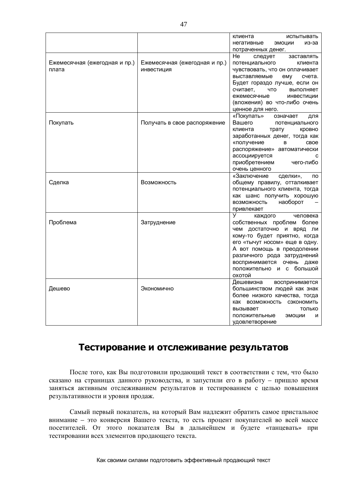|                                        |                                             | клиента<br>испытывать<br>негативные<br>эмоции<br>из-за<br>потраченных денег.                                                                                                                                                                                                     |
|----------------------------------------|---------------------------------------------|----------------------------------------------------------------------------------------------------------------------------------------------------------------------------------------------------------------------------------------------------------------------------------|
| Ежемесячная (ежегодная и пр.)<br>плата | Ежемесячная (ежегодная и пр.)<br>инвестиция | He<br>следует<br>заставлять<br>потенциального<br>клиента<br>чувствовать, что он оплачивает<br>выставляемые<br>ему<br>счета.<br>Будет гораздо лучше, если он<br>ЧТО<br>считает,<br>выполняет<br>ежемесячные<br>инвестиции<br>(вложения) во что-либо очень<br>ценное для него.     |
| Покупать                               | Получать в свое распоряжение                | «Покупать»<br>означает<br>для<br>Вашего<br>потенциального<br>клиента<br>трату<br>кровно<br>заработанных денег, тогда как<br>«получение<br>свое<br>B.<br>распоряжение» автоматически<br>ассоциируется<br>C<br>приобретением чего-либо<br>очень ценного                            |
| Сделка                                 | Возможность                                 | «Заключение<br>сделки»,<br>по<br>общему правилу, отталкивает<br>потенциального клиента, тогда<br>как шанс получить хорошую<br>наоборот<br>ВОЗМОЖНОСТЬ<br>привлекает                                                                                                              |
| Проблема                               | Затруднение                                 | V.<br>каждого человека<br>собственных проблем более<br>чем достаточно и вряд ли<br>кому-то будет приятно, когда<br>его «тычут носом» еще в одну.<br>А вот помощь в преодолении<br>различного рода затруднений<br>воспринимается очень даже<br>положительно и с большой<br>охотой |
| Дешево                                 | Экономично                                  | Дешевизна<br>воспринимается<br>большинством людей как знак<br>более низкого качества, тогда<br>как возможность сэкономить<br>вызывает<br>ТОЛЬКО<br>положительные<br>ЭМОЦИИ<br>и<br>удовлетворение                                                                                |

### Тестирование и отслеживание результатов

После того, как Вы подготовили продающий текст в соответствии с тем, что было сказано на страницах данного руководства, и запустили его в работу – пришло время заняться активным отслеживанием результатов и тестированием с целью повышения результативности и уровня продаж.

Самый первый показатель, на который Вам надлежит обратить самое пристальное внимание – это конверсия Вашего текста, то есть процент покупателей во всей массе посетителей. От этого показателя Вы в дальнейшем и будете «танцевать» при тестировании всех элементов продающего текста.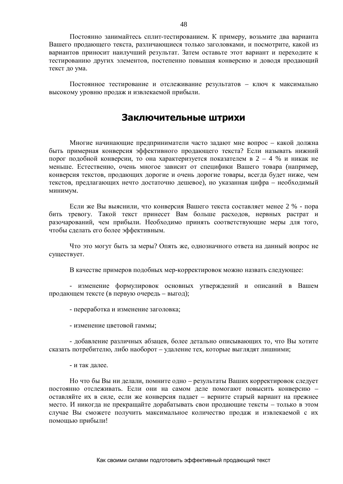Постоянно занимайтесь сплит-тестированием. К примеру, возьмите два варианта Вашего продающего текста, различающиеся только заголовками, и посмотрите, какой из вариантов приносит наилучший результат. Затем оставьте этот вариант и переходите к тестированию лругих элементов, постепенно повышая конверсию и ловоля пролающий текст до ума.

Постоянное тестирование и отслеживание результатов – ключ к максимально высокому уровню продаж и извлекаемой прибыли.

### **Заключительные штрихи**

Многие начинающие предприниматели часто задают мне вопрос – какой должна быть примерная конверсия эффективного продающего текста? Если называть нижний порог подобной конверсии, то она характеризуется показателем в 2 – 4 % и никак не меньше. Естественно, очень многое зависит от специфики Вашего товара (например, конверсия текстов, продающих дорогие и очень дорогие товары, всегда будет ниже, чем текстов, предлагающих нечто достаточно дешевое), но указанная цифра – необходимый минимум.

Если же Вы выяснили, что конверсия Вашего текста составляет менее 2 % - пора бить тревогу. Такой текст принесет Вам больше расходов, нервных растрат и разочарований, чем прибыли. Необходимо принять соответствующие меры для того, чтобы сделать его более эффективным.

Что это могут быть за меры? Опять же, однозначного ответа на данный вопрос не существует.

В качестве примеров подобных мер-корректировок можно назвать следующее:

- изменение формулировок основных утверждений и описаний в Вашем продающем тексте (в первую очередь – выгод);

- переработка и изменение заголовка;

- изменение цветовой гаммы;

- добавление различных абзацев, более детально описывающих то, что Вы хотите сказать потребителю, либо наоборот – улаление тех, которые выглялят лишними;

- и так далее.

Но что бы Вы ни делали, помните одно – результаты Ваших корректировок следует постоянно отслеживать. Если они на самом деле помогают повысить конверсию оставляйте их в силе, если же конверсия падает – верните старый вариант на прежнее место. И никогда не прекращайте дорабатывать свои продающие тексты – только в этом случае Вы сможете получить максимальное количество продаж и извлекаемой с их помощью прибыли!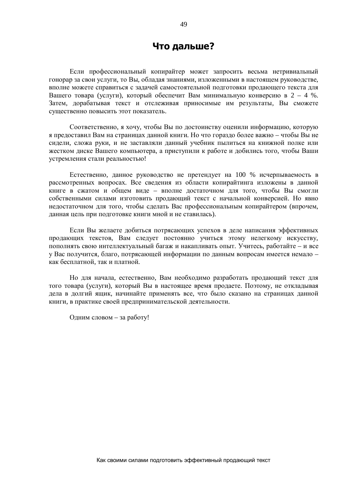### **Что дальше?**

Если профессиональный копирайтер может запросить весьма нетривиальный гонорар за свои услуги, то Вы, обладая знаниями, изложенными в настоящем руководстве, вполне можете справиться с задачей самостоятельной подготовки продающего текста для Вашего товара (услуги), который обеспечит Вам минимальную конверсию в 2 – 4 %. Затем, дорабатывая текст и отслеживая приносимые им результаты, Вы сможете существенно повысить этот показатель.

Соответственно, я хочу, чтобы Вы по достоинству оценили информацию, которую я предоставил Вам на страницах данной книги. Но что гораздо более важно – чтобы Вы не сидели, сложа руки, и не заставляли данный учебник пылиться на книжной полке или жестком диске Вашего компьютера, а приступили к работе и добились того, чтобы Ваши устремления стали реальностью!

Естественно, данное руководство не претендует на 100 % исчерпываемость в рассмотренных вопросах. Все сведения из области копирайтинга изложены в данной книге в сжатом и общем виде – вполне достаточном для того, чтобы Вы смогли собственными силами изготовить пролающий текст с начальной конверсией. Но явно недостаточном для того, чтобы сделать Вас профессиональным копирайтером (впрочем, данная цель при подготовке книги мной и не ставилась).

Если Вы желаете добиться потрясающих успехов в деле написания эффективных продающих текстов, Вам следует постоянно учиться этому нелегкому искусству, пополнять свою интеллектуальный багаж и накапливать опыт. Учитесь, работайте – и все у Вас получится, благо, потрясающей информации по данным вопросам имеется немало – как бесплатной, так и платной.

Но для начала, естественно, Вам необходимо разработать продающий текст для того товара (услуги), который Вы в настоящее время продаете. Поэтому, не откладывая дела в долгий ящик, начинайте применять все, что было сказано на страницах данной книги, в практике своей предпринимательской деятельности.

Одним словом – за работу!